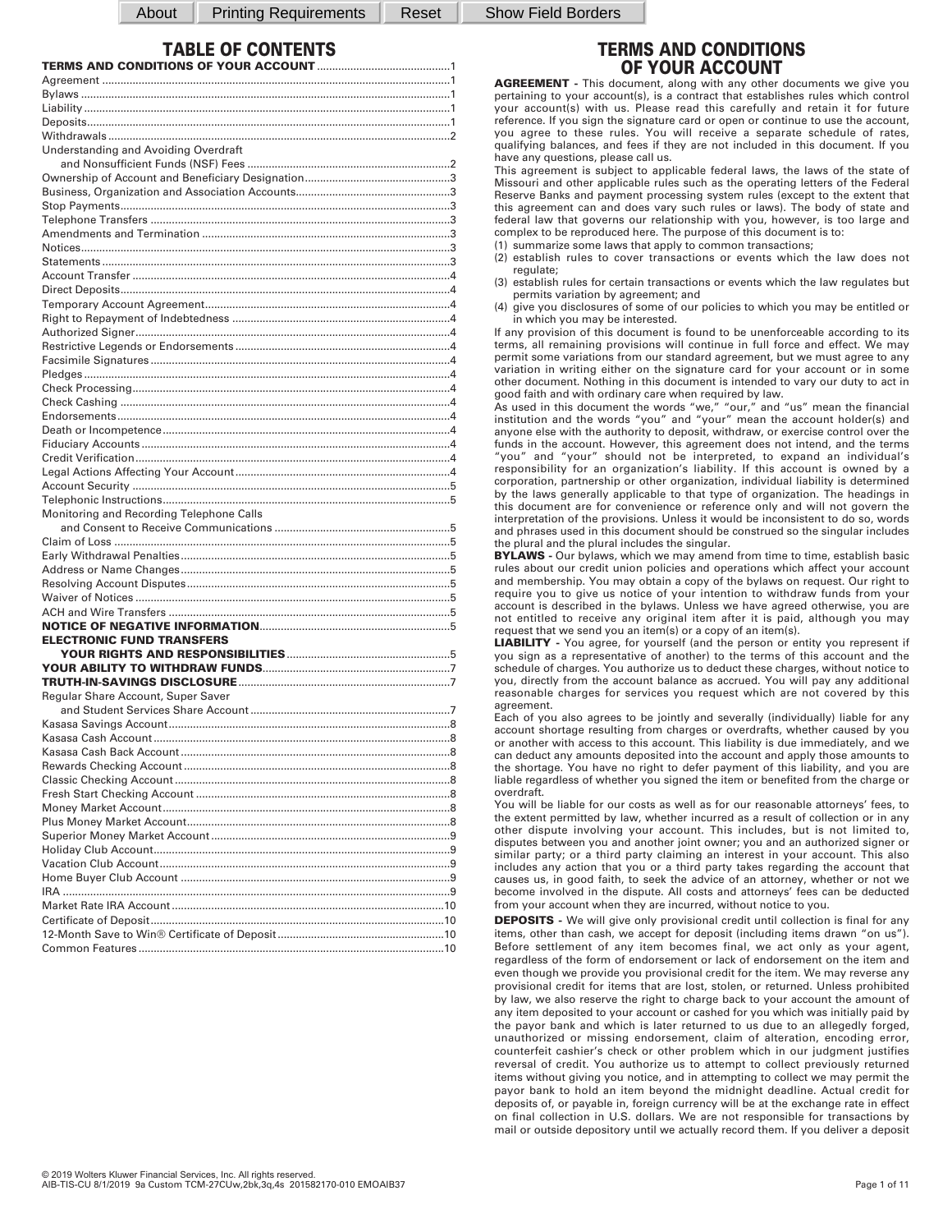About | Printing Requirements | Reset | Show Field Borders

# **TABLE OF CONTENTS**

| Understanding and Avoiding Overdraft     |  |
|------------------------------------------|--|
|                                          |  |
|                                          |  |
|                                          |  |
|                                          |  |
|                                          |  |
|                                          |  |
|                                          |  |
|                                          |  |
|                                          |  |
|                                          |  |
|                                          |  |
|                                          |  |
|                                          |  |
|                                          |  |
|                                          |  |
|                                          |  |
|                                          |  |
|                                          |  |
|                                          |  |
|                                          |  |
|                                          |  |
|                                          |  |
|                                          |  |
|                                          |  |
| Monitoring and Recording Telephone Calls |  |
|                                          |  |
|                                          |  |
|                                          |  |
|                                          |  |
|                                          |  |
|                                          |  |
|                                          |  |
| <b>ELECTRONIC FUND TRANSFERS</b>         |  |
|                                          |  |
|                                          |  |
|                                          |  |
| Regular Share Account, Super Saver       |  |
|                                          |  |
|                                          |  |
|                                          |  |
|                                          |  |
|                                          |  |
|                                          |  |
|                                          |  |
|                                          |  |
|                                          |  |
|                                          |  |
|                                          |  |
|                                          |  |
|                                          |  |
|                                          |  |
|                                          |  |
|                                          |  |
|                                          |  |
|                                          |  |

**AGREEMENT -** This document, along with any other documents we give you pertaining to your account(s), is a contract that establishes rules which control your account(s) with us. Please read this carefully and retain it for future reference. If you sign the signature card or open or continue to use the account, you agree to these rules. You will receive a separate schedule of rates, qualifying balances, and fees if they are not included in this document. If you have any questions, please call us.

This agreement is subject to applicable federal laws, the laws of the state of Missouri and other applicable rules such as the operating letters of the Federal Reserve Banks and payment processing system rules (except to the extent that this agreement can and does vary such rules or laws). The body of state and federal law that governs our relationship with you, however, is too large and complex to be reproduced here. The purpose of this document is to:

- (1) summarize some laws that apply to common transactions;
- (2) establish rules to cover transactions or events which the law does not regulate;
- (3) establish rules for certain transactions or events which the law regulates but permits variation by agreement; and
- (4) give you disclosures of some of our policies to which you may be entitled or in which you may be interested.

If any provision of this document is found to be unenforceable according to its terms, all remaining provisions will continue in full force and effect. We may permit some variations from our standard agreement, but we must agree to any variation in writing either on the signature card for your account or in some other document. Nothing in this document is intended to vary our duty to act in good faith and with ordinary care when required by law.

As used in this document the words "we," "our," and "us" mean the financial institution and the words "you" and "your" mean the account holder(s) and anyone else with the authority to deposit, withdraw, or exercise control over the funds in the account. However, this agreement does not intend, and the terms "you" and "your" should not be interpreted, to expand an individual's responsibility for an organization's liability. If this account is owned by a corporation, partnership or other organization, individual liability is determined by the laws generally applicable to that type of organization. The headings in this document are for convenience or reference only and will not govern the interpretation of the provisions. Unless it would be inconsistent to do so, words and phrases used in this document should be construed so the singular includes the plural and the plural includes the singular.

**BYLAWS -** Our bylaws, which we may amend from time to time, establish basic rules about our credit union policies and operations which affect your account and membership. You may obtain a copy of the bylaws on request. Our right to require you to give us notice of your intention to withdraw funds from your account is described in the bylaws. Unless we have agreed otherwise, you are not entitled to receive any original item after it is paid, although you may request that we send you an item(s) or a copy of an item(s).

**LIABILITY -** You agree, for yourself (and the person or entity you represent if you sign as a representative of another) to the terms of this account and the schedule of charges. You authorize us to deduct these charges, without notice to you, directly from the account balance as accrued. You will pay any additional reasonable charges for services you request which are not covered by this agreement.

Each of you also agrees to be jointly and severally (individually) liable for any account shortage resulting from charges or overdrafts, whether caused by you or another with access to this account. This liability is due immediately, and we can deduct any amounts deposited into the account and apply those amounts to the shortage. You have no right to defer payment of this liability, and you are liable regardless of whether you signed the item or benefited from the charge or overdraft.

You will be liable for our costs as well as for our reasonable attorneys' fees, to the extent permitted by law, whether incurred as a result of collection or in any other dispute involving your account. This includes, but is not limited to, disputes between you and another joint owner; you and an authorized signer or similar party; or a third party claiming an interest in your account. This also includes any action that you or a third party takes regarding the account that causes us, in good faith, to seek the advice of an attorney, whether or not we become involved in the dispute. All costs and attorneys' fees can be deducted from your account when they are incurred, without notice to you.

**DEPOSITS** - We will give only provisional credit until collection is final for any items, other than cash, we accept for deposit (including items drawn "on us"). Before settlement of any item becomes final, we act only as your agent, regardless of the form of endorsement or lack of endorsement on the item and even though we provide you provisional credit for the item. We may reverse any provisional credit for items that are lost, stolen, or returned. Unless prohibited by law, we also reserve the right to charge back to your account the amount of any item deposited to your account or cashed for you which was initially paid by the payor bank and which is later returned to us due to an allegedly forged, unauthorized or missing endorsement, claim of alteration, encoding error, counterfeit cashier's check or other problem which in our judgment justifies reversal of credit. You authorize us to attempt to collect previously returned items without giving you notice, and in attempting to collect we may permit the payor bank to hold an item beyond the midnight deadline. Actual credit for deposits of, or payable in, foreign currency will be at the exchange rate in effect on final collection in U.S. dollars. We are not responsible for transactions by mail or outside depository until we actually record them. If you deliver a deposit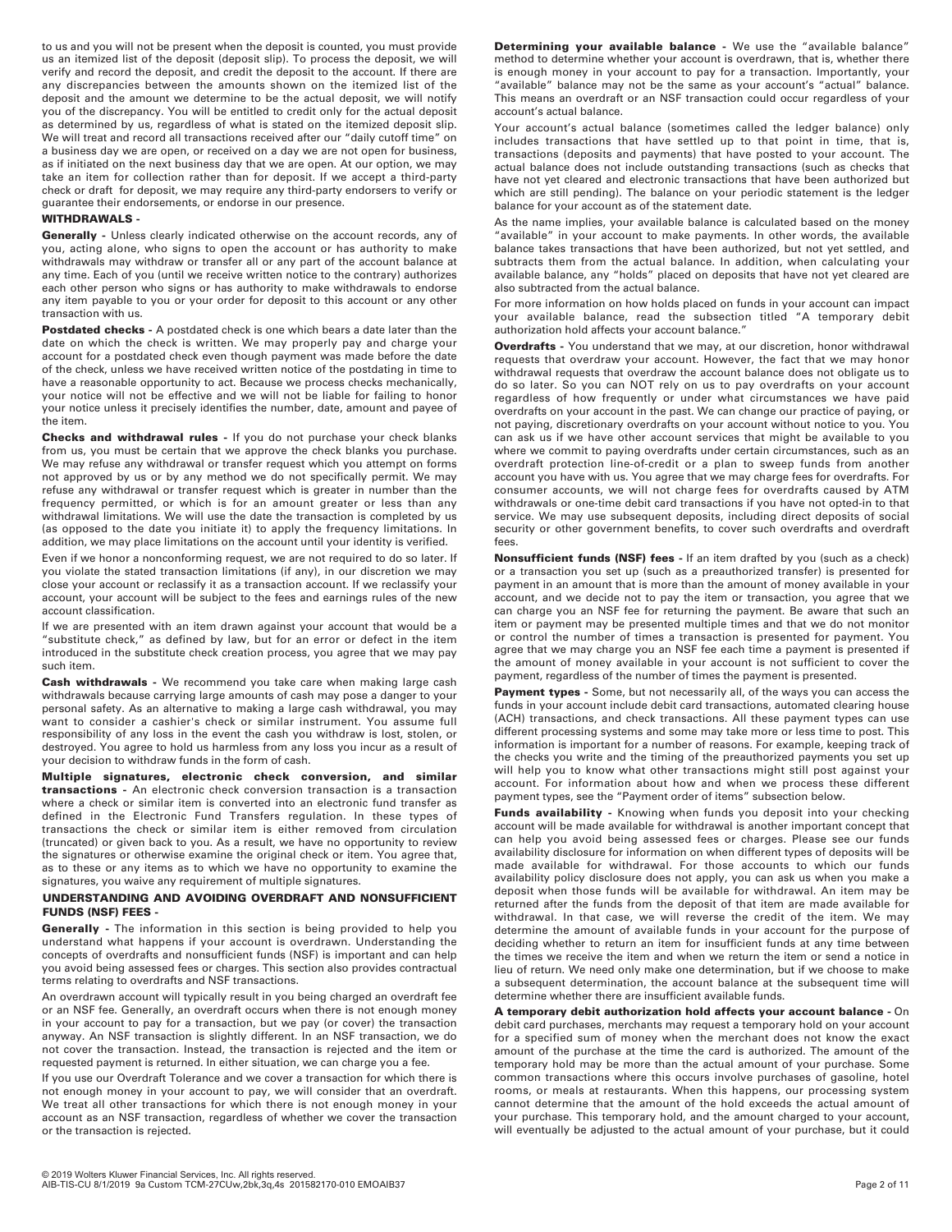to us and you will not be present when the deposit is counted, you must provide us an itemized list of the deposit (deposit slip). To process the deposit, we will verify and record the deposit, and credit the deposit to the account. If there are any discrepancies between the amounts shown on the itemized list of the deposit and the amount we determine to be the actual deposit, we will notify you of the discrepancy. You will be entitled to credit only for the actual deposit as determined by us, regardless of what is stated on the itemized deposit slip. We will treat and record all transactions received after our "daily cutoff time" on a business day we are open, or received on a day we are not open for business, as if initiated on the next business day that we are open. At our option, we may take an item for collection rather than for deposit. If we accept a third-party check or draft for deposit, we may require any third-party endorsers to verify or guarantee their endorsements, or endorse in our presence.

### **WITHDRAWALS -**

**Generally** - Unless clearly indicated otherwise on the account records, any of you, acting alone, who signs to open the account or has authority to make withdrawals may withdraw or transfer all or any part of the account balance at any time. Each of you (until we receive written notice to the contrary) authorizes each other person who signs or has authority to make withdrawals to endorse any item payable to you or your order for deposit to this account or any other transaction with us.

Postdated checks - A postdated check is one which bears a date later than the date on which the check is written. We may properly pay and charge your account for a postdated check even though payment was made before the date of the check, unless we have received written notice of the postdating in time to have a reasonable opportunity to act. Because we process checks mechanically, your notice will not be effective and we will not be liable for failing to honor your notice unless it precisely identifies the number, date, amount and payee of the item.

**Checks and withdrawal rules -** If you do not purchase your check blanks from us, you must be certain that we approve the check blanks you purchase. We may refuse any withdrawal or transfer request which you attempt on forms not approved by us or by any method we do not specifically permit. We may refuse any withdrawal or transfer request which is greater in number than the frequency permitted, or which is for an amount greater or less than any withdrawal limitations. We will use the date the transaction is completed by us (as opposed to the date you initiate it) to apply the frequency limitations. In addition, we may place limitations on the account until your identity is verified.

Even if we honor a nonconforming request, we are not required to do so later. If you violate the stated transaction limitations (if any), in our discretion we may close your account or reclassify it as a transaction account. If we reclassify your account, your account will be subject to the fees and earnings rules of the new account classification.

If we are presented with an item drawn against your account that would be a "substitute check," as defined by law, but for an error or defect in the item introduced in the substitute check creation process, you agree that we may pay such item.

**Cash withdrawals -** We recommend you take care when making large cash withdrawals because carrying large amounts of cash may pose a danger to your personal safety. As an alternative to making a large cash withdrawal, you may want to consider a cashier's check or similar instrument. You assume full responsibility of any loss in the event the cash you withdraw is lost, stolen, or destroyed. You agree to hold us harmless from any loss you incur as a result of your decision to withdraw funds in the form of cash.

**Multiple signatures, electronic check conversion, and similar transactions -** An electronic check conversion transaction is a transaction where a check or similar item is converted into an electronic fund transfer as defined in the Electronic Fund Transfers regulation. In these types of transactions the check or similar item is either removed from circulation (truncated) or given back to you. As a result, we have no opportunity to review the signatures or otherwise examine the original check or item. You agree that, as to these or any items as to which we have no opportunity to examine the signatures, you waive any requirement of multiple signatures.

### **UNDERSTANDING AND AVOIDING OVERDRAFT AND NONSUFFICIENT FUNDS (NSF) FEES -**

**Generally -** The information in this section is being provided to help you understand what happens if your account is overdrawn. Understanding the concepts of overdrafts and nonsufficient funds (NSF) is important and can help you avoid being assessed fees or charges. This section also provides contractual terms relating to overdrafts and NSF transactions.

An overdrawn account will typically result in you being charged an overdraft fee or an NSF fee. Generally, an overdraft occurs when there is not enough money in your account to pay for a transaction, but we pay (or cover) the transaction anyway. An NSF transaction is slightly different. In an NSF transaction, we do not cover the transaction. Instead, the transaction is rejected and the item or requested payment is returned. In either situation, we can charge you a fee.

If you use our Overdraft Tolerance and we cover a transaction for which there is not enough money in your account to pay, we will consider that an overdraft. We treat all other transactions for which there is not enough money in your account as an NSF transaction, regardless of whether we cover the transaction or the transaction is rejected.

**Determining your available balance -** We use the "available balance" method to determine whether your account is overdrawn, that is, whether there is enough money in your account to pay for a transaction. Importantly, your "available" balance may not be the same as your account's "actual" balance. This means an overdraft or an NSF transaction could occur regardless of your account's actual balance.

Your account's actual balance (sometimes called the ledger balance) only includes transactions that have settled up to that point in time, that is, transactions (deposits and payments) that have posted to your account. The actual balance does not include outstanding transactions (such as checks that have not yet cleared and electronic transactions that have been authorized but which are still pending). The balance on your periodic statement is the ledger balance for your account as of the statement date.

As the name implies, your available balance is calculated based on the money "available" in your account to make payments. In other words, the available balance takes transactions that have been authorized, but not yet settled, and subtracts them from the actual balance. In addition, when calculating your available balance, any "holds" placed on deposits that have not yet cleared are also subtracted from the actual balance.

For more information on how holds placed on funds in your account can impact your available balance, read the subsection titled "A temporary debit authorization hold affects your account balance."

**Overdrafts -** You understand that we may, at our discretion, honor withdrawal requests that overdraw your account. However, the fact that we may honor withdrawal requests that overdraw the account balance does not obligate us to do so later. So you can NOT rely on us to pay overdrafts on your account regardless of how frequently or under what circumstances we have paid overdrafts on your account in the past. We can change our practice of paying, or not paying, discretionary overdrafts on your account without notice to you. You can ask us if we have other account services that might be available to you where we commit to paying overdrafts under certain circumstances, such as an overdraft protection line-of-credit or a plan to sweep funds from another account you have with us. You agree that we may charge fees for overdrafts. For consumer accounts, we will not charge fees for overdrafts caused by ATM withdrawals or one-time debit card transactions if you have not opted-in to that service. We may use subsequent deposits, including direct deposits of social security or other government benefits, to cover such overdrafts and overdraft fees.

**Nonsufficient funds (NSF) fees -** If an item drafted by you (such as a check) or a transaction you set up (such as a preauthorized transfer) is presented for payment in an amount that is more than the amount of money available in your account, and we decide not to pay the item or transaction, you agree that we can charge you an NSF fee for returning the payment. Be aware that such an item or payment may be presented multiple times and that we do not monitor or control the number of times a transaction is presented for payment. You agree that we may charge you an NSF fee each time a payment is presented if the amount of money available in your account is not sufficient to cover the payment, regardless of the number of times the payment is presented.

Payment types - Some, but not necessarily all, of the ways you can access the funds in your account include debit card transactions, automated clearing house (ACH) transactions, and check transactions. All these payment types can use different processing systems and some may take more or less time to post. This information is important for a number of reasons. For example, keeping track of the checks you write and the timing of the preauthorized payments you set up will help you to know what other transactions might still post against your account. For information about how and when we process these different payment types, see the "Payment order of items" subsection below.

**Funds availability -** Knowing when funds you deposit into your checking account will be made available for withdrawal is another important concept that can help you avoid being assessed fees or charges. Please see our funds availability disclosure for information on when different types of deposits will be made available for withdrawal. For those accounts to which our funds availability policy disclosure does not apply, you can ask us when you make a deposit when those funds will be available for withdrawal. An item may be returned after the funds from the deposit of that item are made available for withdrawal. In that case, we will reverse the credit of the item. We may determine the amount of available funds in your account for the purpose of deciding whether to return an item for insufficient funds at any time between the times we receive the item and when we return the item or send a notice in lieu of return. We need only make one determination, but if we choose to make a subsequent determination, the account balance at the subsequent time will determine whether there are insufficient available funds.

**A temporary debit authorization hold affects your account balance -** On debit card purchases, merchants may request a temporary hold on your account for a specified sum of money when the merchant does not know the exact amount of the purchase at the time the card is authorized. The amount of the temporary hold may be more than the actual amount of your purchase. Some common transactions where this occurs involve purchases of gasoline, hotel rooms, or meals at restaurants. When this happens, our processing system cannot determine that the amount of the hold exceeds the actual amount of your purchase. This temporary hold, and the amount charged to your account, will eventually be adjusted to the actual amount of your purchase, but it could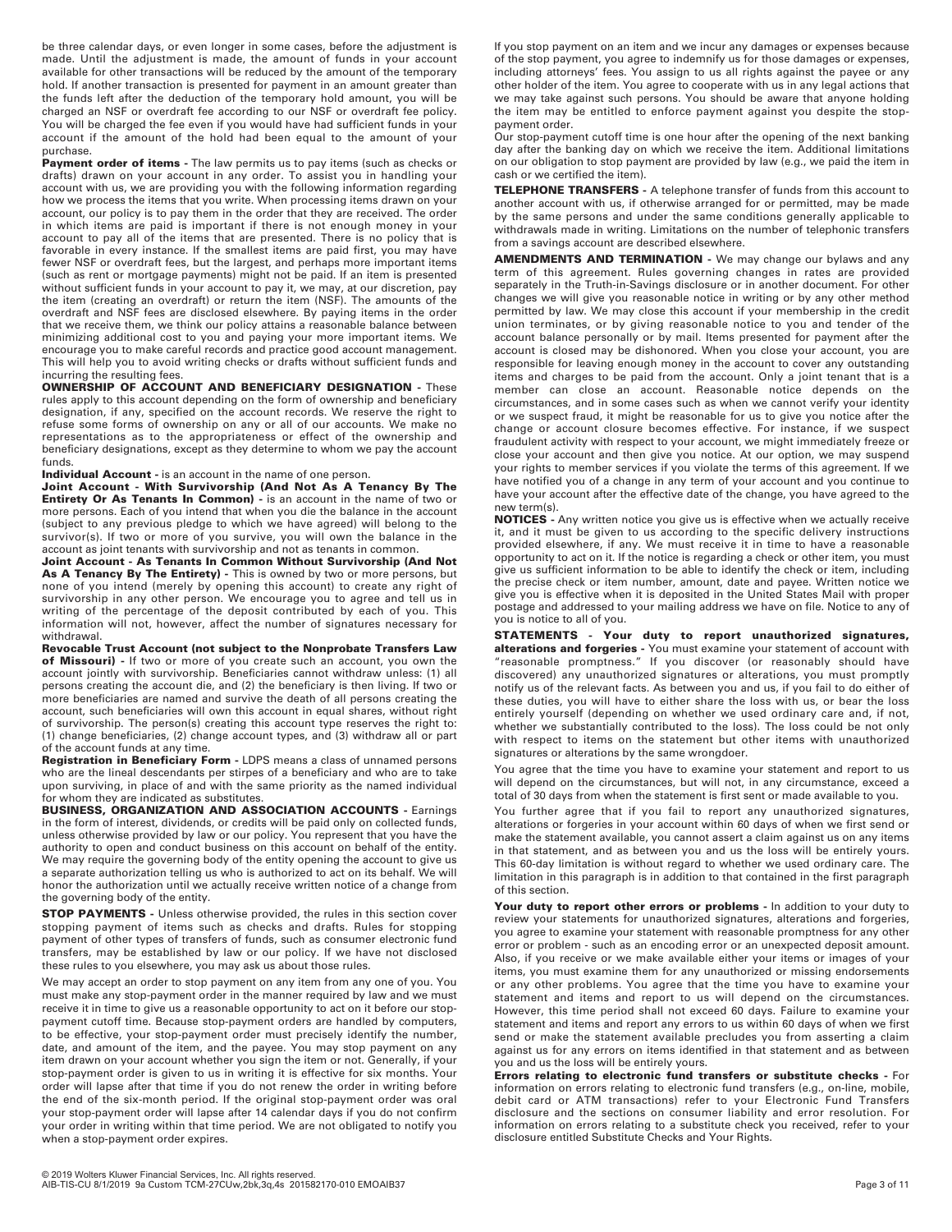be three calendar days, or even longer in some cases, before the adjustment is made. Until the adjustment is made, the amount of funds in your account available for other transactions will be reduced by the amount of the temporary hold. If another transaction is presented for payment in an amount greater than the funds left after the deduction of the temporary hold amount, you will be charged an NSF or overdraft fee according to our NSF or overdraft fee policy. You will be charged the fee even if you would have had sufficient funds in your account if the amount of the hold had been equal to the amount of your purchase.

**Payment order of items -** The law permits us to pay items (such as checks or drafts) drawn on your account in any order. To assist you in handling your account with us, we are providing you with the following information regarding how we process the items that you write. When processing items drawn on your account, our policy is to pay them in the order that they are received. The order in which items are paid is important if there is not enough money in your account to pay all of the items that are presented. There is no policy that is favorable in every instance. If the smallest items are paid first, you may have fewer NSF or overdraft fees, but the largest, and perhaps more important items (such as rent or mortgage payments) might not be paid. If an item is presented without sufficient funds in your account to pay it, we may, at our discretion, pay the item (creating an overdraft) or return the item (NSF). The amounts of the overdraft and NSF fees are disclosed elsewhere. By paying items in the order that we receive them, we think our policy attains a reasonable balance between minimizing additional cost to you and paying your more important items. We encourage you to make careful records and practice good account management. This will help you to avoid writing checks or drafts without sufficient funds and incurring the resulting fees.

**OWNERSHIP OF ACCOUNT AND BENEFICIARY DESIGNATION -** These rules apply to this account depending on the form of ownership and beneficiary designation, if any, specified on the account records. We reserve the right to refuse some forms of ownership on any or all of our accounts. We make no representations as to the appropriateness or effect of the ownership and beneficiary designations, except as they determine to whom we pay the account funds.

**Individual Account -** is an account in the name of one person.

**Joint Account - With Survivorship (And Not As A Tenancy By The Entirety Or As Tenants In Common) -** is an account in the name of two or more persons. Each of you intend that when you die the balance in the account (subject to any previous pledge to which we have agreed) will belong to the survivor(s). If two or more of you survive, you will own the balance in the account as joint tenants with survivorship and not as tenants in common.

**Joint Account - As Tenants In Common Without Survivorship (And Not** As A Tenancy By The Entirety) - This is owned by two or more persons, but none of you intend (merely by opening this account) to create any right of survivorship in any other person. We encourage you to agree and tell us in writing of the percentage of the deposit contributed by each of you. This information will not, however, affect the number of signatures necessary for withdrawal.

**Revocable Trust Account (not subject to the Nonprobate Transfers Law of Missouri) -** If two or more of you create such an account, you own the account jointly with survivorship. Beneficiaries cannot withdraw unless: (1) all persons creating the account die, and (2) the beneficiary is then living. If two or more beneficiaries are named and survive the death of all persons creating the account, such beneficiaries will own this account in equal shares, without right of survivorship. The person(s) creating this account type reserves the right to: (1) change beneficiaries, (2) change account types, and (3) withdraw all or part of the account funds at any time.

**Registration in Beneficiary Form -** LDPS means a class of unnamed persons who are the lineal descendants per stirpes of a beneficiary and who are to take upon surviving, in place of and with the same priority as the named individual for whom they are indicated as substitutes.

**BUSINESS, ORGANIZATION AND ASSOCIATION ACCOUNTS -** Earnings in the form of interest, dividends, or credits will be paid only on collected funds, unless otherwise provided by law or our policy. You represent that you have the authority to open and conduct business on this account on behalf of the entity. We may require the governing body of the entity opening the account to give us a separate authorization telling us who is authorized to act on its behalf. We will honor the authorization until we actually receive written notice of a change from the governing body of the entity.

**STOP PAYMENTS** - Unless otherwise provided, the rules in this section cover stopping payment of items such as checks and drafts. Rules for stopping payment of other types of transfers of funds, such as consumer electronic fund transfers, may be established by law or our policy. If we have not disclosed these rules to you elsewhere, you may ask us about those rules.

We may accept an order to stop payment on any item from any one of you. You must make any stop-payment order in the manner required by law and we must receive it in time to give us a reasonable opportunity to act on it before our stoppayment cutoff time. Because stop-payment orders are handled by computers, to be effective, your stop-payment order must precisely identify the number, date, and amount of the item, and the payee. You may stop payment on any item drawn on your account whether you sign the item or not. Generally, if your stop-payment order is given to us in writing it is effective for six months. Your order will lapse after that time if you do not renew the order in writing before the end of the six-month period. If the original stop-payment order was oral your stop-payment order will lapse after 14 calendar days if you do not confirm your order in writing within that time period. We are not obligated to notify you when a stop-payment order expires.

If you stop payment on an item and we incur any damages or expenses because of the stop payment, you agree to indemnify us for those damages or expenses, including attorneys' fees. You assign to us all rights against the payee or any other holder of the item. You agree to cooperate with us in any legal actions that we may take against such persons. You should be aware that anyone holding the item may be entitled to enforce payment against you despite the stoppayment order.

Our stop-payment cutoff time is one hour after the opening of the next banking day after the banking day on which we receive the item. Additional limitations on our obligation to stop payment are provided by law (e.g., we paid the item in cash or we certified the item).

**TELEPHONE TRANSFERS -** A telephone transfer of funds from this account to another account with us, if otherwise arranged for or permitted, may be made by the same persons and under the same conditions generally applicable to withdrawals made in writing. Limitations on the number of telephonic transfers from a savings account are described elsewhere.

**AMENDMENTS AND TERMINATION -** We may change our bylaws and any term of this agreement. Rules governing changes in rates are provided separately in the Truth-in-Savings disclosure or in another document. For other changes we will give you reasonable notice in writing or by any other method permitted by law. We may close this account if your membership in the credit union terminates, or by giving reasonable notice to you and tender of the account balance personally or by mail. Items presented for payment after the account is closed may be dishonored. When you close your account, you are responsible for leaving enough money in the account to cover any outstanding items and charges to be paid from the account. Only a joint tenant that is a member can close an account. Reasonable notice depends on the circumstances, and in some cases such as when we cannot verify your identity or we suspect fraud, it might be reasonable for us to give you notice after the change or account closure becomes effective. For instance, if we suspect fraudulent activity with respect to your account, we might immediately freeze or close your account and then give you notice. At our option, we may suspend your rights to member services if you violate the terms of this agreement. If we have notified you of a change in any term of your account and you continue to have your account after the effective date of the change, you have agreed to the new term(s).

**NOTICES -** Any written notice you give us is effective when we actually receive it, and it must be given to us according to the specific delivery instructions provided elsewhere, if any. We must receive it in time to have a reasonable opportunity to act on it. If the notice is regarding a check or other item, you must give us sufficient information to be able to identify the check or item, including the precise check or item number, amount, date and payee. Written notice we give you is effective when it is deposited in the United States Mail with proper postage and addressed to your mailing address we have on file. Notice to any of you is notice to all of you.

**STATEMENTS - Your duty to report unauthorized signatures, alterations and forgeries -** You must examine your statement of account with "reasonable promptness." If you discover (or reasonably should have discovered) any unauthorized signatures or alterations, you must promptly notify us of the relevant facts. As between you and us, if you fail to do either of these duties, you will have to either share the loss with us, or bear the loss entirely yourself (depending on whether we used ordinary care and, if not, whether we substantially contributed to the loss). The loss could be not only with respect to items on the statement but other items with unauthorized signatures or alterations by the same wrongdoer.

You agree that the time you have to examine your statement and report to us will depend on the circumstances, but will not, in any circumstance, exceed a total of 30 days from when the statement is first sent or made available to you.

You further agree that if you fail to report any unauthorized signatures, alterations or forgeries in your account within 60 days of when we first send or make the statement available, you cannot assert a claim against us on any items in that statement, and as between you and us the loss will be entirely yours. This 60-day limitation is without regard to whether we used ordinary care. The limitation in this paragraph is in addition to that contained in the first paragraph of this section.

Your duty to report other errors or problems - In addition to your duty to review your statements for unauthorized signatures, alterations and forgeries, you agree to examine your statement with reasonable promptness for any other error or problem - such as an encoding error or an unexpected deposit amount. Also, if you receive or we make available either your items or images of your items, you must examine them for any unauthorized or missing endorsements or any other problems. You agree that the time you have to examine your statement and items and report to us will depend on the circumstances. However, this time period shall not exceed 60 days. Failure to examine your statement and items and report any errors to us within 60 days of when we first send or make the statement available precludes you from asserting a claim against us for any errors on items identified in that statement and as between you and us the loss will be entirely yours.

**Errors relating to electronic fund transfers or substitute checks -** For information on errors relating to electronic fund transfers (e.g., on-line, mobile, debit card or ATM transactions) refer to your Electronic Fund Transfers disclosure and the sections on consumer liability and error resolution. For information on errors relating to a substitute check you received, refer to your disclosure entitled Substitute Checks and Your Rights.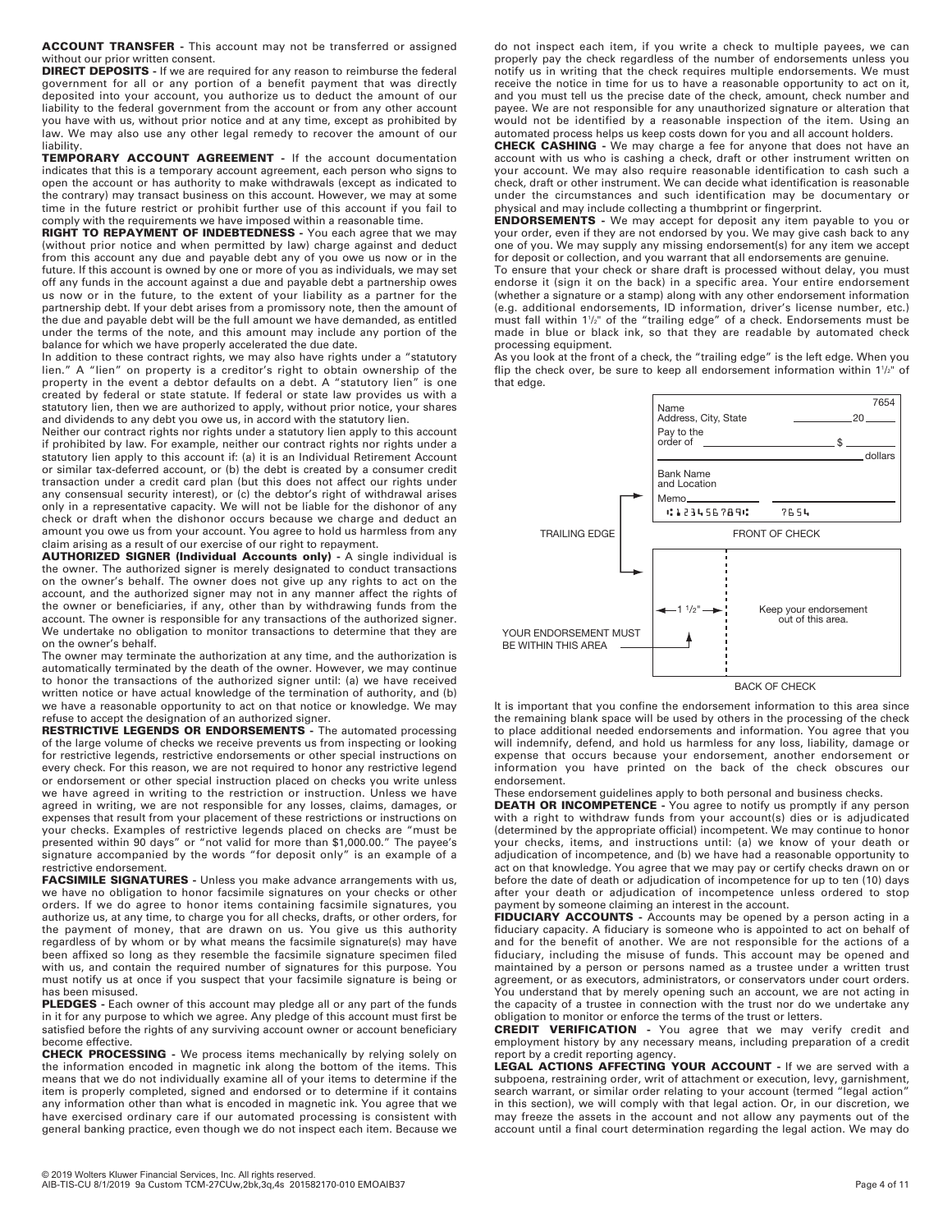**ACCOUNT TRANSFER -** This account may not be transferred or assigned without our prior written consent.

**DIRECT DEPOSITS** - If we are required for any reason to reimburse the federal government for all or any portion of a benefit payment that was directly deposited into your account, you authorize us to deduct the amount of our liability to the federal government from the account or from any other account you have with us, without prior notice and at any time, except as prohibited by law. We may also use any other legal remedy to recover the amount of our liability.

**TEMPORARY ACCOUNT AGREEMENT -** If the account documentation indicates that this is a temporary account agreement, each person who signs to open the account or has authority to make withdrawals (except as indicated to the contrary) may transact business on this account. However, we may at some time in the future restrict or prohibit further use of this account if you fail to comply with the requirements we have imposed within a reasonable time.

**RIGHT TO REPAYMENT OF INDEBTEDNESS -** You each agree that we may (without prior notice and when permitted by law) charge against and deduct from this account any due and payable debt any of you owe us now or in the future. If this account is owned by one or more of you as individuals, we may set off any funds in the account against a due and payable debt a partnership owes us now or in the future, to the extent of your liability as a partner for the partnership debt. If your debt arises from a promissory note, then the amount of the due and payable debt will be the full amount we have demanded, as entitled under the terms of the note, and this amount may include any portion of the balance for which we have properly accelerated the due date.

In addition to these contract rights, we may also have rights under a "statutory lien." A "lien" on property is a creditor's right to obtain ownership of the property in the event a debtor defaults on a debt. A "statutory lien" is one created by federal or state statute. If federal or state law provides us with a statutory lien, then we are authorized to apply, without prior notice, your shares and dividends to any debt you owe us, in accord with the statutory lien.

Neither our contract rights nor rights under a statutory lien apply to this account if prohibited by law. For example, neither our contract rights nor rights under a statutory lien apply to this account if: (a) it is an Individual Retirement Account or similar tax-deferred account, or (b) the debt is created by a consumer credit transaction under a credit card plan (but this does not affect our rights under any consensual security interest), or (c) the debtor's right of withdrawal arises only in a representative capacity. We will not be liable for the dishonor of any check or draft when the dishonor occurs because we charge and deduct an amount you owe us from your account. You agree to hold us harmless from any claim arising as a result of our exercise of our right to repayment.

**AUTHORIZED SIGNER (Individual Accounts only) -** A single individual is the owner. The authorized signer is merely designated to conduct transactions on the owner's behalf. The owner does not give up any rights to act on the account, and the authorized signer may not in any manner affect the rights of the owner or beneficiaries, if any, other than by withdrawing funds from the account. The owner is responsible for any transactions of the authorized signer. We undertake no obligation to monitor transactions to determine that they are on the owner's behalf.

The owner may terminate the authorization at any time, and the authorization is automatically terminated by the death of the owner. However, we may continue to honor the transactions of the authorized signer until: (a) we have received written notice or have actual knowledge of the termination of authority, and (b) we have a reasonable opportunity to act on that notice or knowledge. We may refuse to accept the designation of an authorized signer.

**RESTRICTIVE LEGENDS OR ENDORSEMENTS** - The automated processing of the large volume of checks we receive prevents us from inspecting or looking for restrictive legends, restrictive endorsements or other special instructions on every check. For this reason, we are not required to honor any restrictive legend or endorsement or other special instruction placed on checks you write unless we have agreed in writing to the restriction or instruction. Unless we have agreed in writing, we are not responsible for any losses, claims, damages, or expenses that result from your placement of these restrictions or instructions on your checks. Examples of restrictive legends placed on checks are "must be presented within 90 days" or "not valid for more than \$1,000.00." The payee's signature accompanied by the words "for deposit only" is an example of a restrictive endorsement.

**FACSIMILE SIGNATURES -** Unless you make advance arrangements with us, we have no obligation to honor facsimile signatures on your checks or other orders. If we do agree to honor items containing facsimile signatures, you authorize us, at any time, to charge you for all checks, drafts, or other orders, for the payment of money, that are drawn on us. You give us this authority regardless of by whom or by what means the facsimile signature(s) may have been affixed so long as they resemble the facsimile signature specimen filed with us, and contain the required number of signatures for this purpose. You must notify us at once if you suspect that your facsimile signature is being or has been misused.

**PLEDGES -** Each owner of this account may pledge all or any part of the funds in it for any purpose to which we agree. Any pledge of this account must first be satisfied before the rights of any surviving account owner or account beneficiary become effective.

**CHECK PROCESSING -** We process items mechanically by relying solely on the information encoded in magnetic ink along the bottom of the items. This means that we do not individually examine all of your items to determine if the item is properly completed, signed and endorsed or to determine if it contains any information other than what is encoded in magnetic ink. You agree that we have exercised ordinary care if our automated processing is consistent with general banking practice, even though we do not inspect each item. Because we

do not inspect each item, if you write a check to multiple payees, we can properly pay the check regardless of the number of endorsements unless you notify us in writing that the check requires multiple endorsements. We must receive the notice in time for us to have a reasonable opportunity to act on it, and you must tell us the precise date of the check, amount, check number and payee. We are not responsible for any unauthorized signature or alteration that would not be identified by a reasonable inspection of the item. Using an automated process helps us keep costs down for you and all account holders.

**CHECK CASHING -** We may charge a fee for anyone that does not have an account with us who is cashing a check, draft or other instrument written on your account. We may also require reasonable identification to cash such a check, draft or other instrument. We can decide what identification is reasonable under the circumstances and such identification may be documentary or physical and may include collecting a thumbprint or fingerprint. **ENDORSEMENTS -** We may accept for deposit any item payable to you or

your order, even if they are not endorsed by you. We may give cash back to any one of you. We may supply any missing endorsement(s) for any item we accept for deposit or collection, and you warrant that all endorsements are genuine.

To ensure that your check or share draft is processed without delay, you must endorse it (sign it on the back) in a specific area. Your entire endorsement (whether a signature or a stamp) along with any other endorsement information (e.g. additional endorsements, ID information, driver's license number, etc.) must fall within 11 /2" of the "trailing edge" of a check. Endorsements must be made in blue or black ink, so that they are readable by automated check processing equipment.

As you look at the front of a check, the "trailing edge" is the left edge. When you flip the check over, be sure to keep all endorsement information within  $1$ <sup>1/2</sup>" of that edge.



BACK OF CHECK

It is important that you confine the endorsement information to this area since the remaining blank space will be used by others in the processing of the check to place additional needed endorsements and information. You agree that you will indemnify, defend, and hold us harmless for any loss, liability, damage or expense that occurs because your endorsement, another endorsement or information you have printed on the back of the check obscures our endorsement.

These endorsement guidelines apply to both personal and business checks. **DEATH OR INCOMPETENCE -** You agree to notify us promptly if any person with a right to withdraw funds from your account(s) dies or is adjudicated (determined by the appropriate official) incompetent. We may continue to honor your checks, items, and instructions until: (a) we know of your death or adjudication of incompetence, and (b) we have had a reasonable opportunity to act on that knowledge. You agree that we may pay or certify checks drawn on or before the date of death or adjudication of incompetence for up to ten (10) days after your death or adjudication of incompetence unless ordered to stop payment by someone claiming an interest in the account.

**FIDUCIARY ACCOUNTS -** Accounts may be opened by a person acting in a fiduciary capacity. A fiduciary is someone who is appointed to act on behalf of and for the benefit of another. We are not responsible for the actions of a fiduciary, including the misuse of funds. This account may be opened and maintained by a person or persons named as a trustee under a written trust agreement, or as executors, administrators, or conservators under court orders. You understand that by merely opening such an account, we are not acting in the capacity of a trustee in connection with the trust nor do we undertake any obligation to monitor or enforce the terms of the trust or letters.

**CREDIT VERIFICATION -** You agree that we may verify credit and employment history by any necessary means, including preparation of a credit

report by a credit reporting agency. **LEGAL ACTIONS AFFECTING YOUR ACCOUNT -** If we are served with a subpoena, restraining order, writ of attachment or execution, levy, garnishment, search warrant, or similar order relating to your account (termed "legal action" in this section), we will comply with that legal action. Or, in our discretion, we may freeze the assets in the account and not allow any payments out of the account until a final court determination regarding the legal action. We may do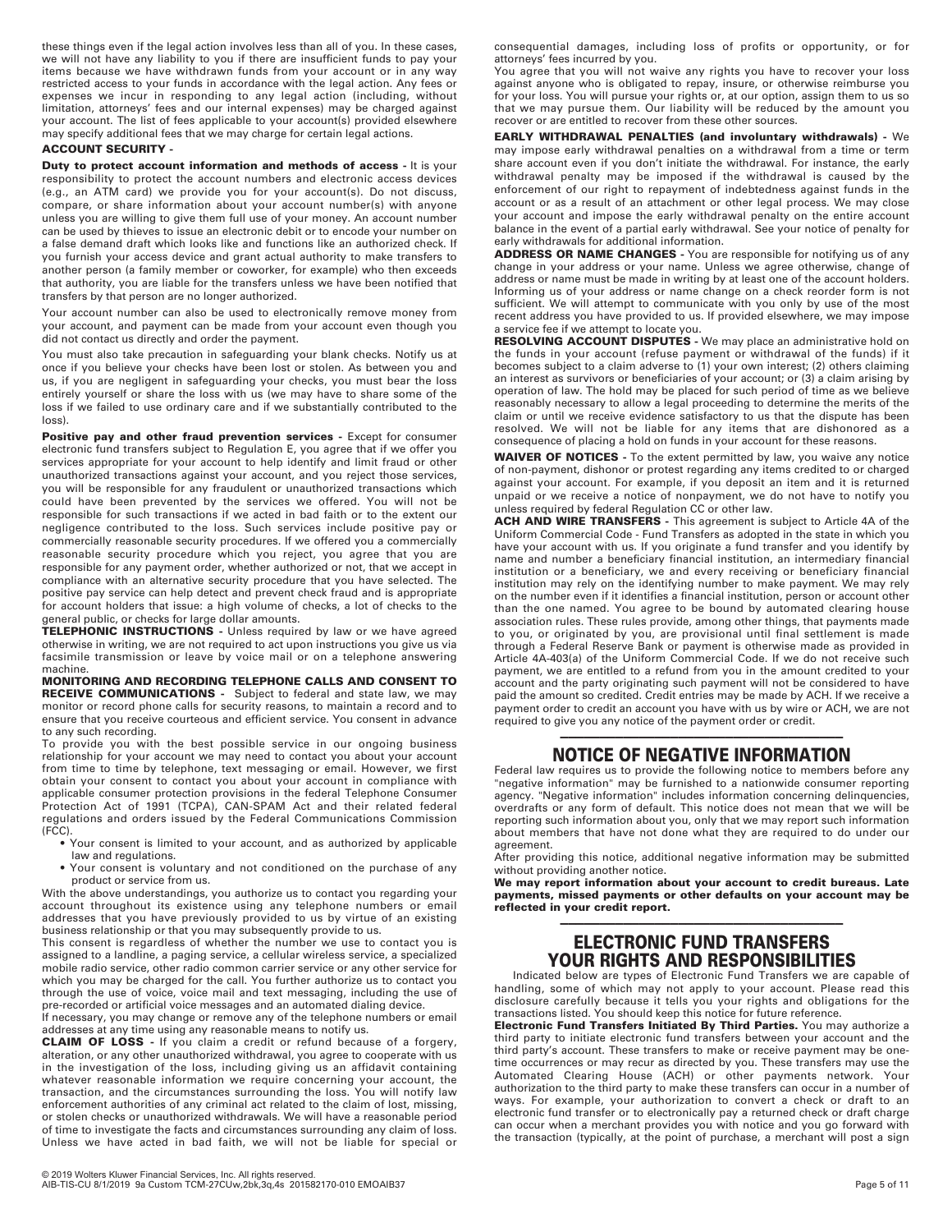these things even if the legal action involves less than all of you. In these cases, we will not have any liability to you if there are insufficient funds to pay your items because we have withdrawn funds from your account or in any way restricted access to your funds in accordance with the legal action. Any fees or expenses we incur in responding to any legal action (including, without limitation, attorneys' fees and our internal expenses) may be charged against your account. The list of fees applicable to your account(s) provided elsewhere may specify additional fees that we may charge for certain legal actions.

### **ACCOUNT SECURITY -**

**Duty to protect account information and methods of access - It is your** responsibility to protect the account numbers and electronic access devices (e.g., an ATM card) we provide you for your account(s). Do not discuss, compare, or share information about your account number(s) with anyone unless you are willing to give them full use of your money. An account number can be used by thieves to issue an electronic debit or to encode your number on a false demand draft which looks like and functions like an authorized check. If you furnish your access device and grant actual authority to make transfers to another person (a family member or coworker, for example) who then exceeds that authority, you are liable for the transfers unless we have been notified that transfers by that person are no longer authorized.

Your account number can also be used to electronically remove money from your account, and payment can be made from your account even though you did not contact us directly and order the payment.

You must also take precaution in safeguarding your blank checks. Notify us at once if you believe your checks have been lost or stolen. As between you and us, if you are negligent in safeguarding your checks, you must bear the loss entirely yourself or share the loss with us (we may have to share some of the loss if we failed to use ordinary care and if we substantially contributed to the loss).

**Positive pay and other fraud prevention services - Except for consumer** electronic fund transfers subject to Regulation E, you agree that if we offer you services appropriate for your account to help identify and limit fraud or other unauthorized transactions against your account, and you reject those services, you will be responsible for any fraudulent or unauthorized transactions which could have been prevented by the services we offered. You will not be responsible for such transactions if we acted in bad faith or to the extent our negligence contributed to the loss. Such services include positive pay or commercially reasonable security procedures. If we offered you a commercially reasonable security procedure which you reject, you agree that you are responsible for any payment order, whether authorized or not, that we accept in compliance with an alternative security procedure that you have selected. The positive pay service can help detect and prevent check fraud and is appropriate for account holders that issue: a high volume of checks, a lot of checks to the general public, or checks for large dollar amounts.

**TELEPHONIC INSTRUCTIONS** - Unless required by law or we have agreed otherwise in writing, we are not required to act upon instructions you give us via facsimile transmission or leave by voice mail or on a telephone answering machine.

**MONITORING AND RECORDING TELEPHONE CALLS AND CONSENT TO RECEIVE COMMUNICATIONS -** Subject to federal and state law, we may monitor or record phone calls for security reasons, to maintain a record and to ensure that you receive courteous and efficient service. You consent in advance to any such recording.

To provide you with the best possible service in our ongoing business relationship for your account we may need to contact you about your account from time to time by telephone, text messaging or email. However, we first obtain your consent to contact you about your account in compliance with applicable consumer protection provisions in the federal Telephone Consumer Protection Act of 1991 (TCPA), CAN-SPAM Act and their related federal regulations and orders issued by the Federal Communications Commission (FCC).

- Your consent is limited to your account, and as authorized by applicable law and regulations.
- Your consent is voluntary and not conditioned on the purchase of any product or service from us.

With the above understandings, you authorize us to contact you regarding your account throughout its existence using any telephone numbers or email addresses that you have previously provided to us by virtue of an existing business relationship or that you may subsequently provide to us.

This consent is regardless of whether the number we use to contact you is assigned to a landline, a paging service, a cellular wireless service, a specialized mobile radio service, other radio common carrier service or any other service for which you may be charged for the call. You further authorize us to contact you through the use of voice, voice mail and text messaging, including the use of pre-recorded or artificial voice messages and an automated dialing device.

If necessary, you may change or remove any of the telephone numbers or email addresses at any time using any reasonable means to notify us.

**CLAIM OF LOSS -** If you claim a credit or refund because of a forgery, alteration, or any other unauthorized withdrawal, you agree to cooperate with us in the investigation of the loss, including giving us an affidavit containing whatever reasonable information we require concerning your account, the transaction, and the circumstances surrounding the loss. You will notify law enforcement authorities of any criminal act related to the claim of lost, missing, or stolen checks or unauthorized withdrawals. We will have a reasonable period of time to investigate the facts and circumstances surrounding any claim of loss. Unless we have acted in bad faith, we will not be liable for special or

consequential damages, including loss of profits or opportunity, or for attorneys' fees incurred by you.

You agree that you will not waive any rights you have to recover your loss against anyone who is obligated to repay, insure, or otherwise reimburse you for your loss. You will pursue your rights or, at our option, assign them to us so that we may pursue them. Our liability will be reduced by the amount you recover or are entitled to recover from these other sources.

**EARLY WITHDRAWAL PENALTIES (and involuntary withdrawals) -** We may impose early withdrawal penalties on a withdrawal from a time or term share account even if you don't initiate the withdrawal. For instance, the early withdrawal penalty may be imposed if the withdrawal is caused by the enforcement of our right to repayment of indebtedness against funds in the account or as a result of an attachment or other legal process. We may close your account and impose the early withdrawal penalty on the entire account balance in the event of a partial early withdrawal. See your notice of penalty for early withdrawals for additional information.

**ADDRESS OR NAME CHANGES -** You are responsible for notifying us of any change in your address or your name. Unless we agree otherwise, change of address or name must be made in writing by at least one of the account holders. Informing us of your address or name change on a check reorder form is not sufficient. We will attempt to communicate with you only by use of the most recent address you have provided to us. If provided elsewhere, we may impose a service fee if we attempt to locate you.

**RESOLVING ACCOUNT DISPUTES -** We may place an administrative hold on the funds in your account (refuse payment or withdrawal of the funds) if it becomes subject to a claim adverse to (1) your own interest; (2) others claiming an interest as survivors or beneficiaries of your account; or (3) a claim arising by operation of law. The hold may be placed for such period of time as we believe reasonably necessary to allow a legal proceeding to determine the merits of the claim or until we receive evidence satisfactory to us that the dispute has been resolved. We will not be liable for any items that are dishonored as a consequence of placing a hold on funds in your account for these reasons.

**WAIVER OF NOTICES -** To the extent permitted by law, you waive any notice of non-payment, dishonor or protest regarding any items credited to or charged against your account. For example, if you deposit an item and it is returned unpaid or we receive a notice of nonpayment, we do not have to notify you unless required by federal Regulation CC or other law.

**ACH AND WIRE TRANSFERS -** This agreement is subject to Article 4A of the Uniform Commercial Code - Fund Transfers as adopted in the state in which you have your account with us. If you originate a fund transfer and you identify by name and number a beneficiary financial institution, an intermediary financial institution or a beneficiary, we and every receiving or beneficiary financial institution may rely on the identifying number to make payment. We may rely on the number even if it identifies a financial institution, person or account other than the one named. You agree to be bound by automated clearing house association rules. These rules provide, among other things, that payments made to you, or originated by you, are provisional until final settlement is made through a Federal Reserve Bank or payment is otherwise made as provided in Article 4A-403(a) of the Uniform Commercial Code. If we do not receive such payment, we are entitled to a refund from you in the amount credited to your account and the party originating such payment will not be considered to have paid the amount so credited. Credit entries may be made by ACH. If we receive a payment order to credit an account you have with us by wire or ACH, we are not required to give you any notice of the payment order or credit.

### ———————————————————————————————————— **NOTICE OF NEGATIVE INFORMATION**

Federal law requires us to provide the following notice to members before any "negative information" may be furnished to a nationwide consumer reporting agency. "Negative information" includes information concerning delinquencies, overdrafts or any form of default. This notice does not mean that we will be reporting such information about you, only that we may report such information about members that have not done what they are required to do under our agreement.

After providing this notice, additional negative information may be submitted without providing another notice.

**We may report information about your account to credit bureaus. Late payments, missed payments or other defaults on your account may be reflected in your credit report.**

# ———————————————————————————————————— **ELECTRONIC FUND TRANSFERS YOUR RIGHTS AND RESPONSIBILITIES**

Indicated below are types of Electronic Fund Transfers we are capable of handling, some of which may not apply to your account. Please read this disclosure carefully because it tells you your rights and obligations for the transactions listed. You should keep this notice for future reference.

**Electronic Fund Transfers Initiated By Third Parties.** You may authorize a third party to initiate electronic fund transfers between your account and the third party's account. These transfers to make or receive payment may be onetime occurrences or may recur as directed by you. These transfers may use the Automated Clearing House (ACH) or other payments network. Your authorization to the third party to make these transfers can occur in a number of ways. For example, your authorization to convert a check or draft to an electronic fund transfer or to electronically pay a returned check or draft charge can occur when a merchant provides you with notice and you go forward with the transaction (typically, at the point of purchase, a merchant will post a sign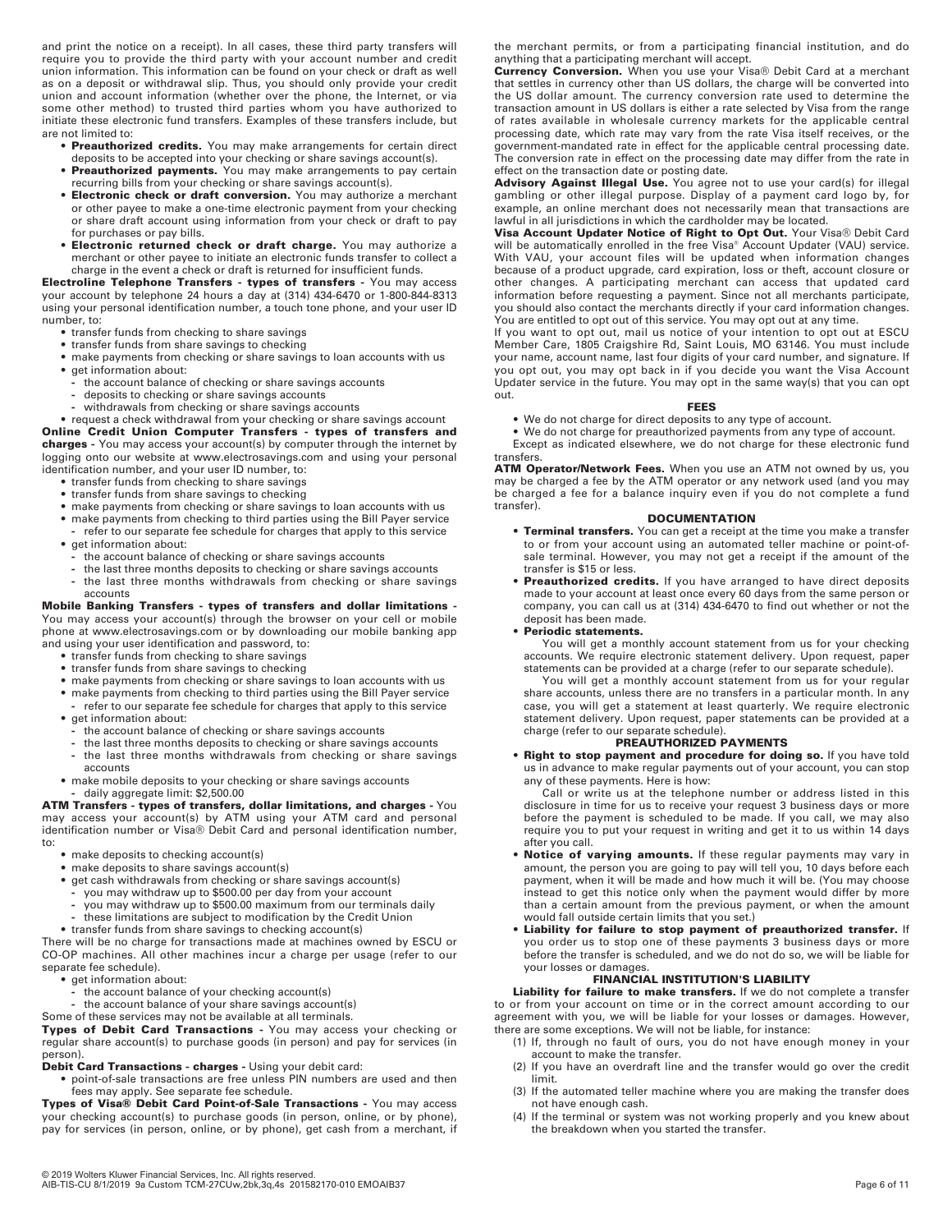and print the notice on a receipt). In all cases, these third party transfers will require you to provide the third party with your account number and credit union information. This information can be found on your check or draft as well as on a deposit or withdrawal slip. Thus, you should only provide your credit union and account information (whether over the phone, the Internet, or via some other method) to trusted third parties whom you have authorized to initiate these electronic fund transfers. Examples of these transfers include, but are not limited to:

- **• Preauthorized credits.** You may make arrangements for certain direct deposits to be accepted into your checking or share savings account(s).
- **• Preauthorized payments.** You may make arrangements to pay certain recurring bills from your checking or share savings account(s).
- **• Electronic check or draft conversion.** You may authorize a merchant or other payee to make a one-time electronic payment from your checking or share draft account using information from your check or draft to pay for purchases or pay bills.
- **• Electronic returned check or draft charge.** You may authorize a merchant or other payee to initiate an electronic funds transfer to collect a charge in the event a check or draft is returned for insufficient funds.

**Electroline Telephone Transfers - types of transfers -** You may access your account by telephone 24 hours a day at (314) 434-6470 or 1-800-844-8313 using your personal identification number, a touch tone phone, and your user ID number, to:

- **•** transfer funds from checking to share savings
- **•** transfer funds from share savings to checking
- **•** make payments from checking or share savings to loan accounts with us
- **•** get information about:
	- **-** the account balance of checking or share savings accounts
	- deposits to checking or share savings accounts
	- **-** withdrawals from checking or share savings accounts

• request a check withdrawal from your checking or share savings account **Online Credit Union Computer Transfers - types of transfers and charges -** You may access your account(s) by computer through the internet by logging onto our website at www.electrosavings.com and using your personal identification number, and your user ID number, to:

- **•** transfer funds from checking to share savings
- **•** transfer funds from share savings to checking
- **•** make payments from checking or share savings to loan accounts with us
- make payments from checking to third parties using the Bill Payer service
- **-** refer to our separate fee schedule for charges that apply to this service **•** get information about:
- **-** the account balance of checking or share savings accounts
- **-** the last three months deposits to checking or share savings accounts
- **-** the last three months withdrawals from checking or share savings accounts

**Mobile Banking Transfers - types of transfers and dollar limitations -** You may access your account(s) through the browser on your cell or mobile phone at www.electrosavings.com or by downloading our mobile banking app

- and using your user identification and password, to:
	- **•** transfer funds from checking to share savings
	- **•** transfer funds from share savings to checking
	- **•** make payments from checking or share savings to loan accounts with us
	- **•** make payments from checking to third parties using the Bill Payer service **-** refer to our separate fee schedule for charges that apply to this service
	- **•** get information about:
	- <sup>-</sup> the account balance of checking or share savings accounts<br>- the last three months deposits to checking or share savings
	- **-** the last three months deposits to checking or share savings accounts
	- **-** the last three months withdrawals from checking or share savings accounts
	- **•** make mobile deposits to your checking or share savings accounts **-** daily aggregate limit: \$2,500.00

**ATM Transfers - types of transfers, dollar limitations, and charges -** You may access your account(s) by ATM using your ATM card and personal identification number or Visa® Debit Card and personal identification number, to:

- **•** make deposits to checking account(s)
- **•** make deposits to share savings account(s)
- get cash withdrawals from checking or share savings account(s)
- **-** you may withdraw up to \$500.00 per day from your account
- **-** you may withdraw up to \$500.00 maximum from our terminals daily
- **-** these limitations are subject to modification by the Credit Union **•** transfer funds from share savings to checking account(s)

There will be no charge for transactions made at machines owned by ESCU or CO-OP machines. All other machines incur a charge per usage (refer to our separate fee schedule).

- **•** get information about:
- **-** the account balance of your checking account(s)
- **-** the account balance of your share savings account(s)
- Some of these services may not be available at all terminals.

**Types of Debit Card Transactions -** You may access your checking or regular share account(s) to purchase goods (in person) and pay for services (in person).

**Debit Card Transactions - charges -** Using your debit card:

**•** point-of-sale transactions are free unless PIN numbers are used and then fees may apply. See separate fee schedule.

**Types of Visa® Debit Card Point-of-Sale Transactions -** You may access your checking account(s) to purchase goods (in person, online, or by phone), pay for services (in person, online, or by phone), get cash from a merchant, if the merchant permits, or from a participating financial institution, and do

anything that a participating merchant will accept. **Currency Conversion.** When you use your Visa® Debit Card at a merchant that settles in currency other than US dollars, the charge will be converted into the US dollar amount. The currency conversion rate used to determine the transaction amount in US dollars is either a rate selected by Visa from the range of rates available in wholesale currency markets for the applicable central processing date, which rate may vary from the rate Visa itself receives, or the government-mandated rate in effect for the applicable central processing date. The conversion rate in effect on the processing date may differ from the rate in effect on the transaction date or posting date.

**Advisory Against Illegal Use.** You agree not to use your card(s) for illegal gambling or other illegal purpose. Display of a payment card logo by, for example, an online merchant does not necessarily mean that transactions are lawful in all jurisdictions in which the cardholder may be located.

**Visa Account Updater Notice of Right to Opt Out.** Your Visa® Debit Card will be automatically enrolled in the free Visa® Account Updater (VAU) service. With VAU, your account files will be updated when information changes because of a product upgrade, card expiration, loss or theft, account closure or other changes. A participating merchant can access that updated card information before requesting a payment. Since not all merchants participate, you should also contact the merchants directly if your card information changes. You are entitled to opt out of this service. You may opt out at any time.

If you want to opt out, mail us notice of your intention to opt out at ESCU Member Care, 1805 Craigshire Rd, Saint Louis, MO 63146. You must include your name, account name, last four digits of your card number, and signature. If you opt out, you may opt back in if you decide you want the Visa Account Updater service in the future. You may opt in the same way(s) that you can opt out.

### **FEES**

**•** We do not charge for direct deposits to any type of account.

**•** We do not charge for preauthorized payments from any type of account. Except as indicated elsewhere, we do not charge for these electronic fund transfers.

**ATM Operator/Network Fees.** When you use an ATM not owned by us, you may be charged a fee by the ATM operator or any network used (and you may be charged a fee for a balance inquiry even if you do not complete a fund transfer).

### **DOCUMENTATION**

- **• Terminal transfers.** You can get a receipt at the time you make a transfer to or from your account using an automated teller machine or point-ofsale terminal. However, you may not get a receipt if the amount of the transfer is \$15 or less.
- **• Preauthorized credits.** If you have arranged to have direct deposits made to your account at least once every 60 days from the same person or company, you can call us at (314) 434-6470 to find out whether or not the deposit has been made.

### **• Periodic statements.**

You will get a monthly account statement from us for your checking accounts. We require electronic statement delivery. Upon request, paper statements can be provided at a charge (refer to our separate schedule).

You will get a monthly account statement from us for your regular share accounts, unless there are no transfers in a particular month. In any case, you will get a statement at least quarterly. We require electronic statement delivery. Upon request, paper statements can be provided at a charge (refer to our separate schedule).

### **PREAUTHORIZED PAYMENTS**

**• Right to stop payment and procedure for doing so.** If you have told us in advance to make regular payments out of your account, you can stop any of these payments. Here is how:

Call or write us at the telephone number or address listed in this disclosure in time for us to receive your request 3 business days or more before the payment is scheduled to be made. If you call, we may also require you to put your request in writing and get it to us within 14 days after you call.

- **• Notice of varying amounts.** If these regular payments may vary in amount, the person you are going to pay will tell you, 10 days before each payment, when it will be made and how much it will be. (You may choose instead to get this notice only when the payment would differ by more than a certain amount from the previous payment, or when the amount would fall outside certain limits that you set.)
- **• Liability for failure to stop payment of preauthorized transfer.** If you order us to stop one of these payments 3 business days or more before the transfer is scheduled, and we do not do so, we will be liable for your losses or damages.

### **FINANCIAL INSTITUTION'S LIABILITY**

**Liability for failure to make transfers.** If we do not complete a transfer to or from your account on time or in the correct amount according to our agreement with you, we will be liable for your losses or damages. However, there are some exceptions. We will not be liable, for instance:

- (1) If, through no fault of ours, you do not have enough money in your account to make the transfer.
- (2) If you have an overdraft line and the transfer would go over the credit limit.
- (3) If the automated teller machine where you are making the transfer does not have enough cash.
- (4) If the terminal or system was not working properly and you knew about the breakdown when you started the transfer.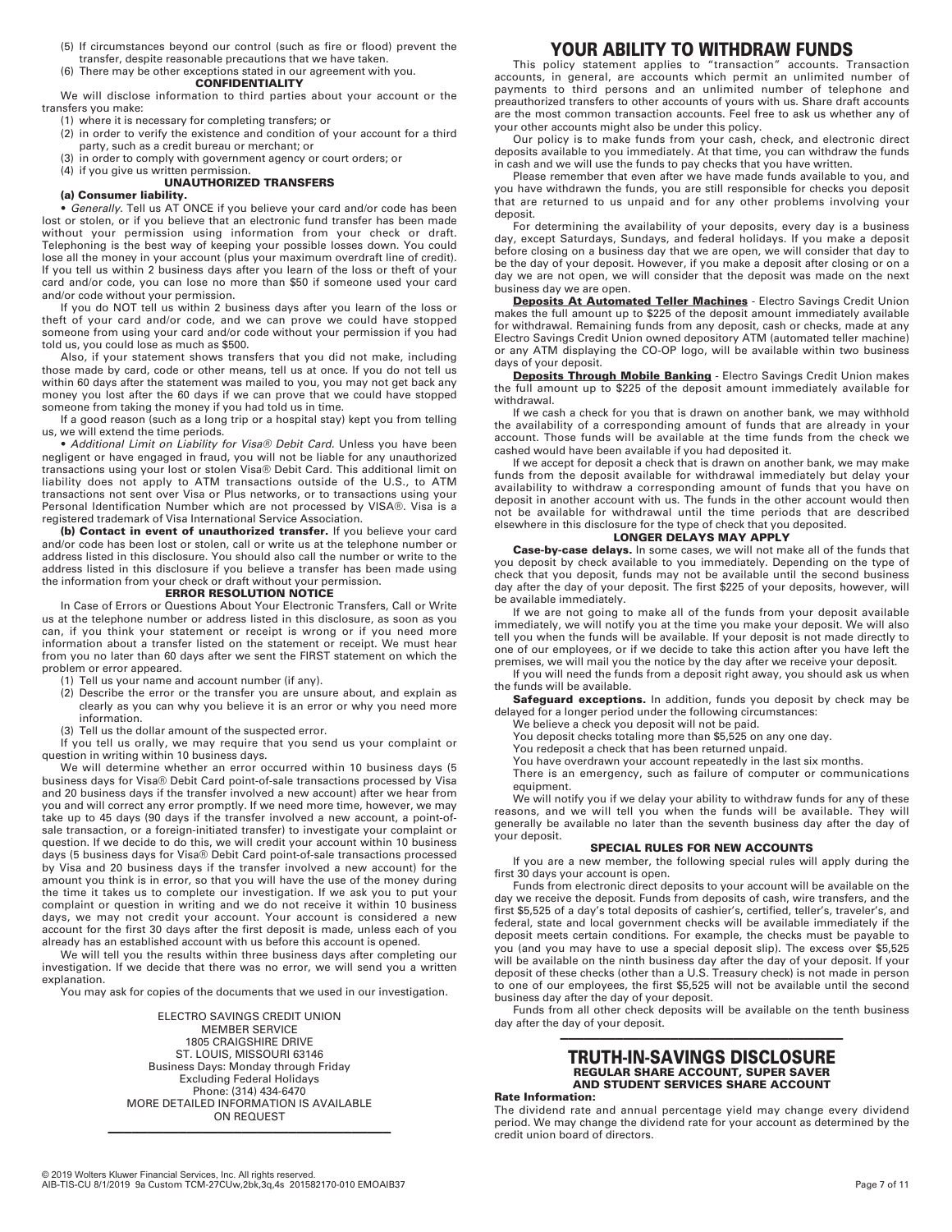- (5) If circumstances beyond our control (such as fire or flood) prevent the transfer, despite reasonable precautions that we have taken.
- (6) There may be other exceptions stated in our agreement with you.

### **CONFIDENTIALITY**

We will disclose information to third parties about your account or the transfers you make:

- (1) where it is necessary for completing transfers; or
- (2) in order to verify the existence and condition of your account for a third party, such as a credit bureau or merchant; or
- (3) in order to comply with government agency or court orders; or
- 

# (4) if you give us written permission. **UNAUTHORIZED TRANSFERS**

### **(a) Consumer liability.**

**•** Generally. Tell us AT ONCE if you believe your card and/or code has been lost or stolen, or if you believe that an electronic fund transfer has been made without your permission using information from your check or draft. Telephoning is the best way of keeping your possible losses down. You could lose all the money in your account (plus your maximum overdraft line of credit). If you tell us within 2 business days after you learn of the loss or theft of your card and/or code, you can lose no more than \$50 if someone used your card and/or code without your permission.

If you do NOT tell us within 2 business days after you learn of the loss or theft of your card and/or code, and we can prove we could have stopped someone from using your card and/or code without your permission if you had told us, you could lose as much as \$500.

Also, if your statement shows transfers that you did not make, including those made by card, code or other means, tell us at once. If you do not tell us within 60 days after the statement was mailed to you, you may not get back any money you lost after the 60 days if we can prove that we could have stopped someone from taking the money if you had told us in time.

If a good reason (such as a long trip or a hospital stay) kept you from telling us, we will extend the time periods.

**•** Additional Limit on Liability for Visa® Debit Card. Unless you have been negligent or have engaged in fraud, you will not be liable for any unauthorized transactions using your lost or stolen Visa® Debit Card. This additional limit on liability does not apply to ATM transactions outside of the U.S., to ATM transactions not sent over Visa or Plus networks, or to transactions using your Personal Identification Number which are not processed by VISA®. Visa is a registered trademark of Visa International Service Association.

**(b) Contact in event of unauthorized transfer.** If you believe your card and/or code has been lost or stolen, call or write us at the telephone number or address listed in this disclosure. You should also call the number or write to the address listed in this disclosure if you believe a transfer has been made using the information from your check or draft without your permission. **ERROR RESOLUTION NOTICE**

In Case of Errors or Questions About Your Electronic Transfers, Call or Write us at the telephone number or address listed in this disclosure, as soon as you can, if you think your statement or receipt is wrong or if you need more information about a transfer listed on the statement or receipt. We must hear from you no later than 60 days after we sent the FIRST statement on which the problem or error appeared.

- (1) Tell us your name and account number (if any).
- (2) Describe the error or the transfer you are unsure about, and explain as clearly as you can why you believe it is an error or why you need more information.
- (3) Tell us the dollar amount of the suspected error.

If you tell us orally, we may require that you send us your complaint or question in writing within 10 business days.

We will determine whether an error occurred within 10 business days (5 business days for Visa® Debit Card point-of-sale transactions processed by Visa and 20 business days if the transfer involved a new account) after we hear from you and will correct any error promptly. If we need more time, however, we may take up to 45 days (90 days if the transfer involved a new account, a point-ofsale transaction, or a foreign-initiated transfer) to investigate your complaint or question. If we decide to do this, we will credit your account within 10 business days (5 business days for Visa® Debit Card point-of-sale transactions processed by Visa and 20 business days if the transfer involved a new account) for the amount you think is in error, so that you will have the use of the money during the time it takes us to complete our investigation. If we ask you to put your complaint or question in writing and we do not receive it within 10 business days, we may not credit your account. Your account is considered a new account for the first 30 days after the first deposit is made, unless each of you already has an established account with us before this account is opened.

We will tell you the results within three business days after completing our investigation. If we decide that there was no error, we will send you a written explanation.

You may ask for copies of the documents that we used in our investigation.

ELECTRO SAVINGS CREDIT UNION MEMBER SERVICE 1805 CRAIGSHIRE DRIVE ST. LOUIS, MISSOURI 63146 Business Days: Monday through Friday Excluding Federal Holidays Phone: (314) 434-6470 MORE DETAILED INFORMATION IS AVAILABLE ON REQUEST

————————————————————————————————————

# **YOUR ABILITY TO WITHDRAW FUNDS**

This policy statement applies to "transaction" accounts. Transaction accounts, in general, are accounts which permit an unlimited number of payments to third persons and an unlimited number of telephone and preauthorized transfers to other accounts of yours with us. Share draft accounts are the most common transaction accounts. Feel free to ask us whether any of your other accounts might also be under this policy.

Our policy is to make funds from your cash, check, and electronic direct deposits available to you immediately. At that time, you can withdraw the funds in cash and we will use the funds to pay checks that you have written.

Please remember that even after we have made funds available to you, and you have withdrawn the funds, you are still responsible for checks you deposit that are returned to us unpaid and for any other problems involving your deposit.

For determining the availability of your deposits, every day is a business day, except Saturdays, Sundays, and federal holidays. If you make a deposit before closing on a business day that we are open, we will consider that day to be the day of your deposit. However, if you make a deposit after closing or on a day we are not open, we will consider that the deposit was made on the next business day we are open.

**Deposits At Automated Teller Machines** - Electro Savings Credit Union makes the full amount up to \$225 of the deposit amount immediately available for withdrawal. Remaining funds from any deposit, cash or checks, made at any Electro Savings Credit Union owned depository ATM (automated teller machine) or any ATM displaying the CO-OP logo, will be available within two business days of your deposit.

**Deposits Through Mobile Banking** - Electro Savings Credit Union makes the full amount up to \$225 of the deposit amount immediately available for withdrawal.

If we cash a check for you that is drawn on another bank, we may withhold the availability of a corresponding amount of funds that are already in your account. Those funds will be available at the time funds from the check we cashed would have been available if you had deposited it.

If we accept for deposit a check that is drawn on another bank, we may make funds from the deposit available for withdrawal immediately but delay your availability to withdraw a corresponding amount of funds that you have on deposit in another account with us. The funds in the other account would then not be available for withdrawal until the time periods that are described elsewhere in this disclosure for the type of check that you deposited.

# **LONGER DELAYS MAY APPLY**

**Case-by-case delays.** In some cases, we will not make all of the funds that you deposit by check available to you immediately. Depending on the type of check that you deposit, funds may not be available until the second business day after the day of your deposit. The first \$225 of your deposits, however, will be available immediately.

If we are not going to make all of the funds from your deposit available immediately, we will notify you at the time you make your deposit. We will also tell you when the funds will be available. If your deposit is not made directly to one of our employees, or if we decide to take this action after you have left the premises, we will mail you the notice by the day after we receive your deposit.

If you will need the funds from a deposit right away, you should ask us when the funds will be available.

**Safeguard exceptions.** In addition, funds you deposit by check may be delayed for a longer period under the following circumstances:

We believe a check you deposit will not be paid.

- You deposit checks totaling more than \$5,525 on any one day.
- You redeposit a check that has been returned unpaid.

You have overdrawn your account repeatedly in the last six months. There is an emergency, such as failure of computer or communications equipment.

We will notify you if we delay your ability to withdraw funds for any of these reasons, and we will tell you when the funds will be available. They will generally be available no later than the seventh business day after the day of your deposit.

### **SPECIAL RULES FOR NEW ACCOUNTS**

If you are a new member, the following special rules will apply during the first 30 days your account is open.

Funds from electronic direct deposits to your account will be available on the day we receive the deposit. Funds from deposits of cash, wire transfers, and the first \$5,525 of a day's total deposits of cashier's, certified, teller's, traveler's, and federal, state and local government checks will be available immediately if the deposit meets certain conditions. For example, the checks must be payable to you (and you may have to use a special deposit slip). The excess over \$5,525 will be available on the ninth business day after the day of your deposit. If your deposit of these checks (other than a U.S. Treasury check) is not made in person to one of our employees, the first \$5,525 will not be available until the second business day after the day of your deposit.

Funds from all other check deposits will be available on the tenth business day after the day of your deposit.

### ———————————————————————————————————— **TRUTH-IN-SAVINGS DISCLOSURE REGULAR SHARE ACCOUNT, SUPER SAVER AND STUDENT SERVICES SHARE ACCOUNT**

**Rate Information:**

The dividend rate and annual percentage yield may change every dividend period. We may change the dividend rate for your account as determined by the credit union board of directors.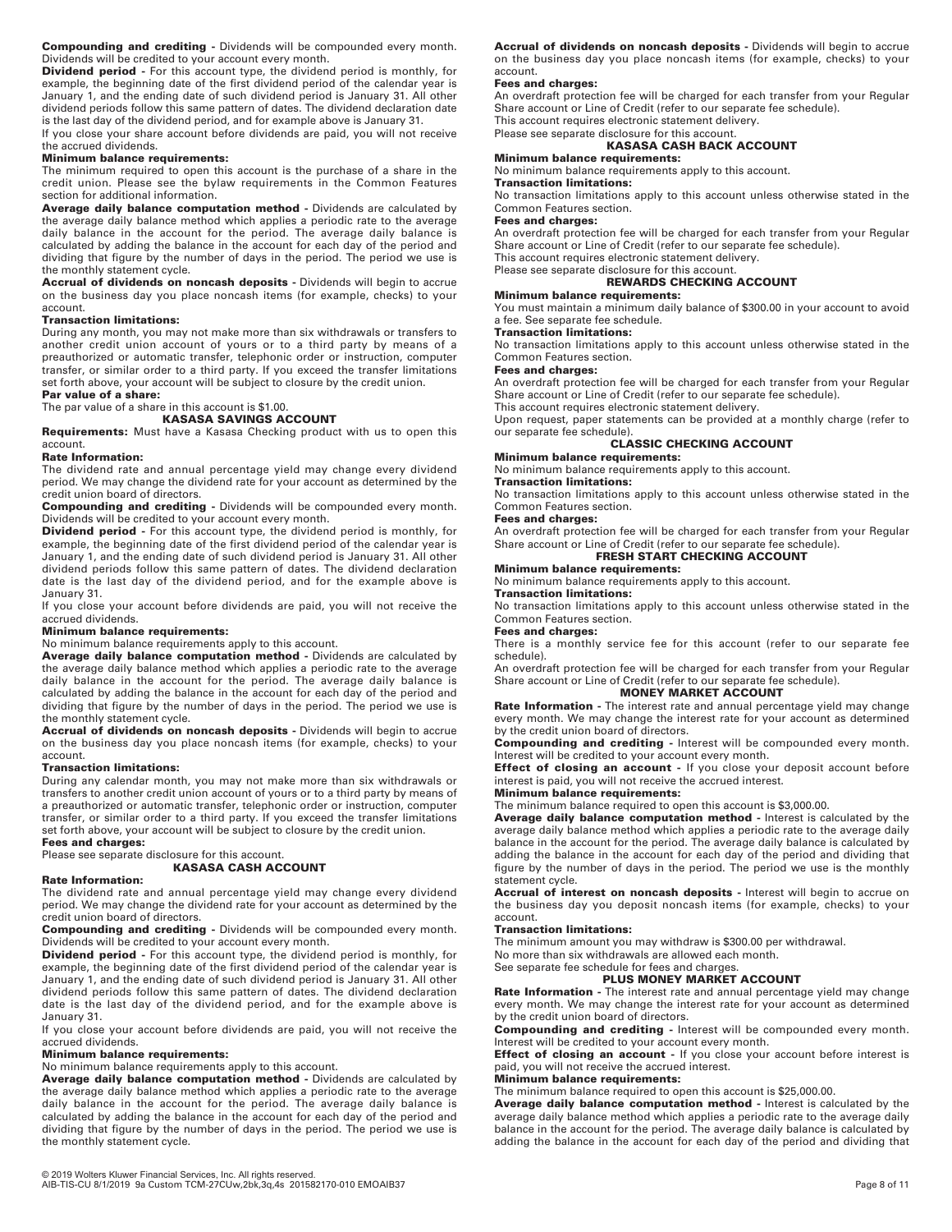**Compounding and crediting -** Dividends will be compounded every month. Dividends will be credited to your account every month.

**Dividend period -** For this account type, the dividend period is monthly, for example, the beginning date of the first dividend period of the calendar year is January 1, and the ending date of such dividend period is January 31. All other dividend periods follow this same pattern of dates. The dividend declaration date is the last day of the dividend period, and for example above is January 31.

If you close your share account before dividends are paid, you will not receive the accrued dividends.

### **Minimum balance requirements:**

The minimum required to open this account is the purchase of a share in the credit union. Please see the bylaw requirements in the Common Features section for additional information.

**Average daily balance computation method -** Dividends are calculated by the average daily balance method which applies a periodic rate to the average daily balance in the account for the period. The average daily balance is calculated by adding the balance in the account for each day of the period and dividing that figure by the number of days in the period. The period we use is the monthly statement cycle.

**Accrual of dividends on noncash deposits -** Dividends will begin to accrue on the business day you place noncash items (for example, checks) to your account.

### **Transaction limitations:**

During any month, you may not make more than six withdrawals or transfers to another credit union account of yours or to a third party by means of a preauthorized or automatic transfer, telephonic order or instruction, computer transfer, or similar order to a third party. If you exceed the transfer limitations set forth above, your account will be subject to closure by the credit union. **Par value of a share:**

The par value of a share in this account is \$1.00.

### **KASASA SAVINGS ACCOUNT**

**Requirements:** Must have a Kasasa Checking product with us to open this account.

### **Rate Information:**

The dividend rate and annual percentage yield may change every dividend period. We may change the dividend rate for your account as determined by the credit union board of directors.

**Compounding and crediting -** Dividends will be compounded every month. Dividends will be credited to your account every month.

**Dividend period -** For this account type, the dividend period is monthly, for example, the beginning date of the first dividend period of the calendar year is January 1, and the ending date of such dividend period is January 31. All other dividend periods follow this same pattern of dates. The dividend declaration date is the last day of the dividend period, and for the example above is January 31.

If you close your account before dividends are paid, you will not receive the accrued dividends.

### **Minimum balance requirements:**

No minimum balance requirements apply to this account.

**Average daily balance computation method -** Dividends are calculated by the average daily balance method which applies a periodic rate to the average daily balance in the account for the period. The average daily balance is calculated by adding the balance in the account for each day of the period and dividing that figure by the number of days in the period. The period we use is the monthly statement cycle.

**Accrual of dividends on noncash deposits -** Dividends will begin to accrue on the business day you place noncash items (for example, checks) to your account.

### **Transaction limitations:**

During any calendar month, you may not make more than six withdrawals or transfers to another credit union account of yours or to a third party by means of a preauthorized or automatic transfer, telephonic order or instruction, computer transfer, or similar order to a third party. If you exceed the transfer limitations set forth above, your account will be subject to closure by the credit union.

**Fees and charges:**

### Please see separate disclosure for this account. **KASASA CASH ACCOUNT**

### **Rate Information:**

The dividend rate and annual percentage yield may change every dividend period. We may change the dividend rate for your account as determined by the credit union board of directors.

**Compounding and crediting -** Dividends will be compounded every month. Dividends will be credited to your account every month.

**Dividend period -** For this account type, the dividend period is monthly, for example, the beginning date of the first dividend period of the calendar year is January 1, and the ending date of such dividend period is January 31. All other dividend periods follow this same pattern of dates. The dividend declaration date is the last day of the dividend period, and for the example above is January 31.

If you close your account before dividends are paid, you will not receive the accrued dividends.

### **Minimum balance requirements:**

No minimum balance requirements apply to this account.

**Average daily balance computation method -** Dividends are calculated by the average daily balance method which applies a periodic rate to the average daily balance in the account for the period. The average daily balance is calculated by adding the balance in the account for each day of the period and dividing that figure by the number of days in the period. The period we use is the monthly statement cycle.

**Accrual of dividends on noncash deposits -** Dividends will begin to accrue on the business day you place noncash items (for example, checks) to your account.

### **Fees and charges:**

An overdraft protection fee will be charged for each transfer from your Regular Share account or Line of Credit (refer to our separate fee schedule). This account requires electronic statement delivery.

# Please see separate disclosure for this account. **KASASA CASH BACK ACCOUNT**

# **Minimum balance requirements:**

No minimum balance requirements apply to this account.

#### **Transaction limitations:**

No transaction limitations apply to this account unless otherwise stated in the Common Features section.

### **Fees and charges:**

An overdraft protection fee will be charged for each transfer from your Regular Share account or Line of Credit (refer to our separate fee schedule). This account requires electronic statement delivery.

Please see separate disclosure for this account. **REWARDS CHECKING ACCOUNT**

### **Minimum balance requirements:**

You must maintain a minimum daily balance of \$300.00 in your account to avoid a fee. See separate fee schedule.

# **Transaction limitations:**

No transaction limitations apply to this account unless otherwise stated in the Common Features section.

### **Fees and charges:**

An overdraft protection fee will be charged for each transfer from your Regular Share account or Line of Credit (refer to our separate fee schedule). This account requires electronic statement delivery.

Upon request, paper statements can be provided at a monthly charge (refer to our separate fee schedule).

## **CLASSIC CHECKING ACCOUNT**

### **Minimum balance requirements:**

No minimum balance requirements apply to this account.

# **Transaction limitations:**

No transaction limitations apply to this account unless otherwise stated in the Common Features section.

# **Fees and charges:**

An overdraft protection fee will be charged for each transfer from your Regular Share account or Line of Credit (refer to our separate fee schedule). **FRESH START CHECKING ACCOUNT**

# **Minimum balance requirements:**

No minimum balance requirements apply to this account.

### **Transaction limitations:**

No transaction limitations apply to this account unless otherwise stated in the Common Features section.

### **Fees and charges:**

There is a monthly service fee for this account (refer to our separate fee schedule).

An overdraft protection fee will be charged for each transfer from your Regular Share account or Line of Credit (refer to our separate fee schedule).

# **MONEY MARKET ACCOUNT**

**Rate Information -** The interest rate and annual percentage yield may change every month. We may change the interest rate for your account as determined by the credit union board of directors.

**Compounding and crediting -** Interest will be compounded every month. Interest will be credited to your account every month.

**Effect of closing an account - If you close your deposit account before** interest is paid, you will not receive the accrued interest.

# **Minimum balance requirements:**

The minimum balance required to open this account is \$3,000.00. **Average daily balance computation method -** Interest is calculated by the average daily balance method which applies a periodic rate to the average daily balance in the account for the period. The average daily balance is calculated by adding the balance in the account for each day of the period and dividing that figure by the number of days in the period. The period we use is the monthly statement cycle.

**Accrual of interest on noncash deposits -** Interest will begin to accrue on the business day you deposit noncash items (for example, checks) to your account.

### **Transaction limitations:**

The minimum amount you may withdraw is \$300.00 per withdrawal.

No more than six withdrawals are allowed each month.

### See separate fee schedule for fees and charges. **PLUS MONEY MARKET ACCOUNT**

**Rate Information -** The interest rate and annual percentage yield may change every month. We may change the interest rate for your account as determined by the credit union board of directors.

**Compounding and crediting -** Interest will be compounded every month. Interest will be credited to your account every month.

**Effect of closing an account - If you close your account before interest is** paid, you will not receive the accrued interest.

### **Minimum balance requirements:**

The minimum balance required to open this account is \$25,000.00.

**Average daily balance computation method -** Interest is calculated by the average daily balance method which applies a periodic rate to the average daily balance in the account for the period. The average daily balance is calculated by adding the balance in the account for each day of the period and dividing that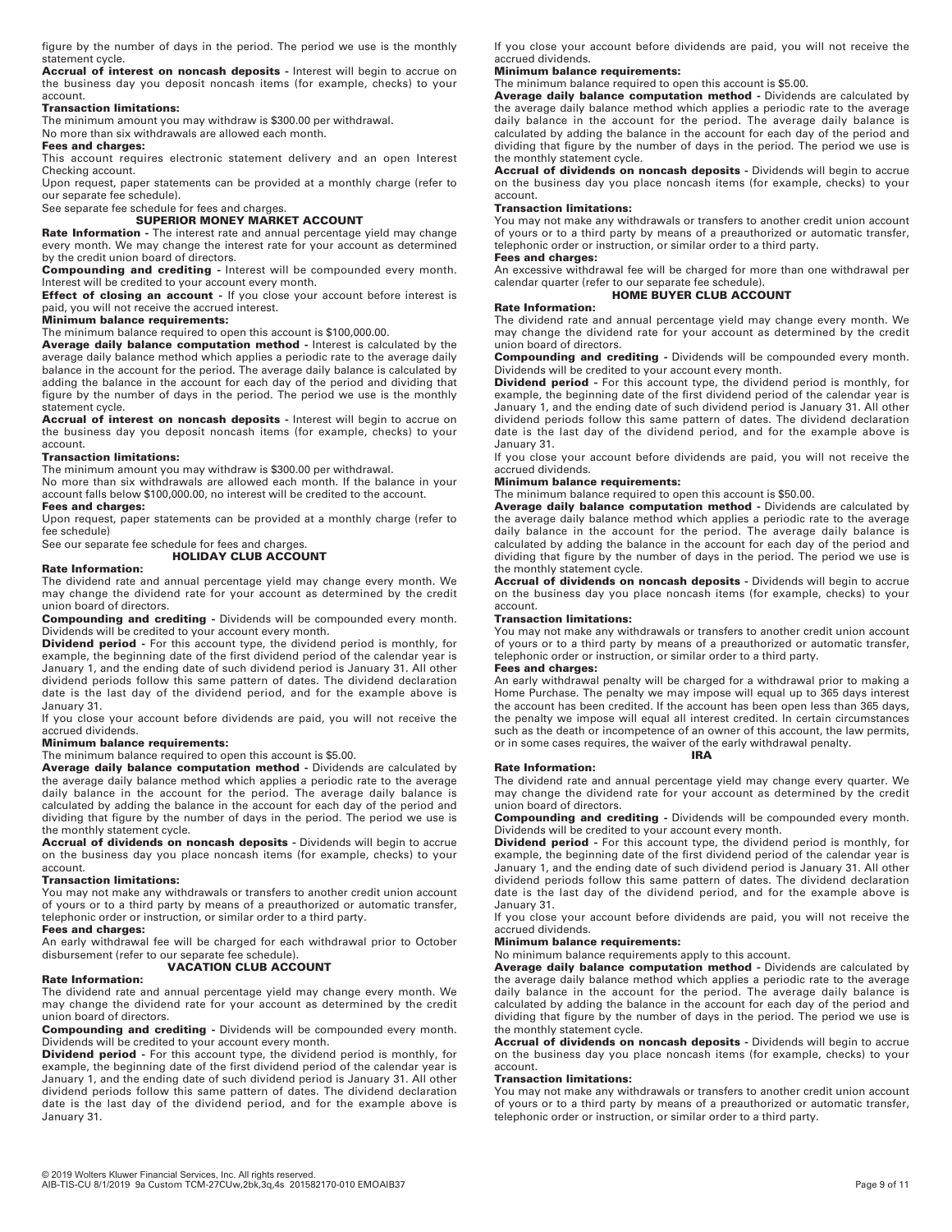figure by the number of days in the period. The period we use is the monthly statement cycle.

**Accrual of interest on noncash deposits -** Interest will begin to accrue on the business day you deposit noncash items (for example, checks) to your account.

### **Transaction limitations:**

The minimum amount you may withdraw is \$300.00 per withdrawal.

No more than six withdrawals are allowed each month.

**Fees and charges:**

This account requires electronic statement delivery and an open Interest Checking account.

Upon request, paper statements can be provided at a monthly charge (refer to our separate fee schedule).

# See separate fee schedule for fees and charges. **SUPERIOR MONEY MARKET ACCOUNT**

**Rate Information -** The interest rate and annual percentage yield may change every month. We may change the interest rate for your account as determined by the credit union board of directors.

**Compounding and crediting -** Interest will be compounded every month. Interest will be credited to your account every month.

**Effect of closing an account - If you close your account before interest is** paid, you will not receive the accrued interest.

### **Minimum balance requirements:**

The minimum balance required to open this account is \$100,000.00.

**Average daily balance computation method -** Interest is calculated by the average daily balance method which applies a periodic rate to the average daily balance in the account for the period. The average daily balance is calculated by adding the balance in the account for each day of the period and dividing that figure by the number of days in the period. The period we use is the monthly statement cycle.

**Accrual of interest on noncash deposits -** Interest will begin to accrue on the business day you deposit noncash items (for example, checks) to your account.

### **Transaction limitations:**

The minimum amount you may withdraw is \$300.00 per withdrawal.

No more than six withdrawals are allowed each month. If the balance in your account falls below \$100,000.00, no interest will be credited to the account.

### **Fees and charges:**

Upon request, paper statements can be provided at a monthly charge (refer to fee schedule)

See our separate fee schedule for fees and charges. **HOLIDAY CLUB ACCOUNT**

### **Rate Information:**

The dividend rate and annual percentage yield may change every month. We may change the dividend rate for your account as determined by the credit union board of directors.

**Compounding and crediting -** Dividends will be compounded every month. Dividends will be credited to your account every month.

**Dividend period -** For this account type, the dividend period is monthly, for example, the beginning date of the first dividend period of the calendar year is January 1, and the ending date of such dividend period is January 31. All other dividend periods follow this same pattern of dates. The dividend declaration date is the last day of the dividend period, and for the example above is January 31.

If you close your account before dividends are paid, you will not receive the accrued dividends.

### **Minimum balance requirements:**

The minimum balance required to open this account is \$5.00.

**Average daily balance computation method -** Dividends are calculated by the average daily balance method which applies a periodic rate to the average daily balance in the account for the period. The average daily balance is calculated by adding the balance in the account for each day of the period and dividing that figure by the number of days in the period. The period we use is the monthly statement cycle.

**Accrual of dividends on noncash deposits -** Dividends will begin to accrue on the business day you place noncash items (for example, checks) to your account.

### **Transaction limitations:**

You may not make any withdrawals or transfers to another credit union account of yours or to a third party by means of a preauthorized or automatic transfer, telephonic order or instruction, or similar order to a third party.

### **Fees and charges:**

An early withdrawal fee will be charged for each withdrawal prior to October disbursement (refer to our separate fee schedule). **VACATION CLUB ACCOUNT**

### **Rate Information:**

The dividend rate and annual percentage yield may change every month. We may change the dividend rate for your account as determined by the credit union board of directors.

**Compounding and crediting -** Dividends will be compounded every month. Dividends will be credited to your account every month.

**Dividend period -** For this account type, the dividend period is monthly, for example, the beginning date of the first dividend period of the calendar year is January 1, and the ending date of such dividend period is January 31. All other dividend periods follow this same pattern of dates. The dividend declaration date is the last day of the dividend period, and for the example above is January 31.

If you close your account before dividends are paid, you will not receive the accrued dividends.

### **Minimum balance requirements:**

The minimum balance required to open this account is \$5.00.

**Average daily balance computation method -** Dividends are calculated by the average daily balance method which applies a periodic rate to the average daily balance in the account for the period. The average daily balance is calculated by adding the balance in the account for each day of the period and dividing that figure by the number of days in the period. The period we use is the monthly statement cycle.

**Accrual of dividends on noncash deposits -** Dividends will begin to accrue on the business day you place noncash items (for example, checks) to your account.

### **Transaction limitations:**

You may not make any withdrawals or transfers to another credit union account of yours or to a third party by means of a preauthorized or automatic transfer, telephonic order or instruction, or similar order to a third party.

### **Fees and charges:**

An excessive withdrawal fee will be charged for more than one withdrawal per calendar quarter (refer to our separate fee schedule). **HOME BUYER CLUB ACCOUNT**

### **Rate Information:**

The dividend rate and annual percentage yield may change every month. We may change the dividend rate for your account as determined by the credit union board of directors.

**Compounding and crediting -** Dividends will be compounded every month. Dividends will be credited to your account every month.

**Dividend period** - For this account type, the dividend period is monthly, for example, the beginning date of the first dividend period of the calendar year is January 1, and the ending date of such dividend period is January 31. All other dividend periods follow this same pattern of dates. The dividend declaration date is the last day of the dividend period, and for the example above is January 31.

If you close your account before dividends are paid, you will not receive the accrued dividends.

### **Minimum balance requirements:**

The minimum balance required to open this account is \$50.00.

**Average daily balance computation method -** Dividends are calculated by the average daily balance method which applies a periodic rate to the average daily balance in the account for the period. The average daily balance is calculated by adding the balance in the account for each day of the period and dividing that figure by the number of days in the period. The period we use is the monthly statement cycle.

**Accrual of dividends on noncash deposits -** Dividends will begin to accrue on the business day you place noncash items (for example, checks) to your account.

### **Transaction limitations:**

You may not make any withdrawals or transfers to another credit union account of yours or to a third party by means of a preauthorized or automatic transfer, telephonic order or instruction, or similar order to a third party.

### **Fees and charges:**

An early withdrawal penalty will be charged for a withdrawal prior to making a Home Purchase. The penalty we may impose will equal up to 365 days interest the account has been credited. If the account has been open less than 365 days, the penalty we impose will equal all interest credited. In certain circumstances such as the death or incompetence of an owner of this account, the law permits, or in some cases requires, the waiver of the early withdrawal penalty. **IRA**

### **Rate Information:**

The dividend rate and annual percentage yield may change every quarter. We may change the dividend rate for your account as determined by the credit union board of directors.

**Compounding and crediting -** Dividends will be compounded every month. Dividends will be credited to your account every month.

**Dividend period -** For this account type, the dividend period is monthly, for example, the beginning date of the first dividend period of the calendar year is January 1, and the ending date of such dividend period is January 31. All other dividend periods follow this same pattern of dates. The dividend declaration date is the last day of the dividend period, and for the example above is January 31.

If you close your account before dividends are paid, you will not receive the accrued dividends.

### **Minimum balance requirements:**

No minimum balance requirements apply to this account.

**Average daily balance computation method -** Dividends are calculated by the average daily balance method which applies a periodic rate to the average daily balance in the account for the period. The average daily balance is calculated by adding the balance in the account for each day of the period and dividing that figure by the number of days in the period. The period we use is the monthly statement cycle.

**Accrual of dividends on noncash deposits -** Dividends will begin to accrue on the business day you place noncash items (for example, checks) to your account.

### **Transaction limitations:**

You may not make any withdrawals or transfers to another credit union account of yours or to a third party by means of a preauthorized or automatic transfer, telephonic order or instruction, or similar order to a third party.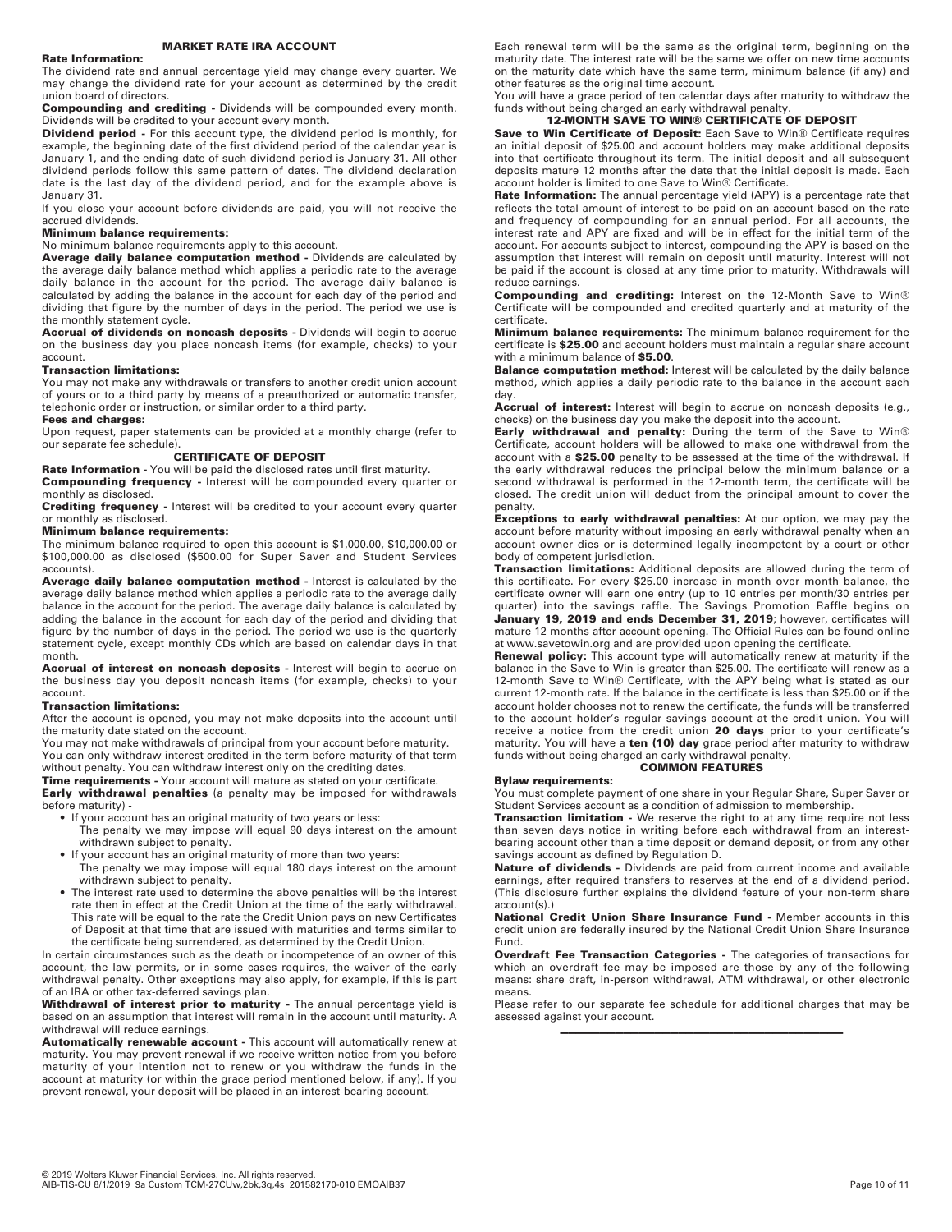### **MARKET RATE IRA ACCOUNT**

### **Rate Information:**

The dividend rate and annual percentage yield may change every quarter. We may change the dividend rate for your account as determined by the credit union board of directors.

**Compounding and crediting -** Dividends will be compounded every month. Dividends will be credited to your account every month.

**Dividend period -** For this account type, the dividend period is monthly, for example, the beginning date of the first dividend period of the calendar year is January 1, and the ending date of such dividend period is January 31. All other dividend periods follow this same pattern of dates. The dividend declaration date is the last day of the dividend period, and for the example above is January 31.

If you close your account before dividends are paid, you will not receive the accrued dividends.

# **Minimum balance requirements:**

No minimum balance requirements apply to this account.

**Average daily balance computation method -** Dividends are calculated by the average daily balance method which applies a periodic rate to the average daily balance in the account for the period. The average daily balance is calculated by adding the balance in the account for each day of the period and dividing that figure by the number of days in the period. The period we use is the monthly statement cycle.

**Accrual of dividends on noncash deposits -** Dividends will begin to accrue on the business day you place noncash items (for example, checks) to your account.

### **Transaction limitations:**

You may not make any withdrawals or transfers to another credit union account of yours or to a third party by means of a preauthorized or automatic transfer, telephonic order or instruction, or similar order to a third party.

### **Fees and charges:**

Upon request, paper statements can be provided at a monthly charge (refer to our separate fee schedule).

# **CERTIFICATE OF DEPOSIT**

**Rate Information -** You will be paid the disclosed rates until first maturity. **Compounding frequency -** Interest will be compounded every quarter or monthly as disclosed.

**Crediting frequency -** Interest will be credited to your account every quarter or monthly as disclosed.

### **Minimum balance requirements:**

The minimum balance required to open this account is \$1,000.00, \$10,000.00 or \$100,000.00 as disclosed (\$500.00 for Super Saver and Student Services accounts).

**Average daily balance computation method -** Interest is calculated by the average daily balance method which applies a periodic rate to the average daily balance in the account for the period. The average daily balance is calculated by adding the balance in the account for each day of the period and dividing that figure by the number of days in the period. The period we use is the quarterly statement cycle, except monthly CDs which are based on calendar days in that month.

**Accrual of interest on noncash deposits -** Interest will begin to accrue on the business day you deposit noncash items (for example, checks) to your account.

### **Transaction limitations:**

After the account is opened, you may not make deposits into the account until the maturity date stated on the account.

You may not make withdrawals of principal from your account before maturity. You can only withdraw interest credited in the term before maturity of that term without penalty. You can withdraw interest only on the crediting dates.

**Time requirements -** Your account will mature as stated on your certificate. **Early withdrawal penalties** (a penalty may be imposed for withdrawals before maturity) -

• If your account has an original maturity of two years or less:

- The penalty we may impose will equal 90 days interest on the amount withdrawn subject to penalty.
- If your account has an original maturity of more than two years:
- The penalty we may impose will equal 180 days interest on the amount withdrawn subject to penalty.
- The interest rate used to determine the above penalties will be the interest rate then in effect at the Credit Union at the time of the early withdrawal. This rate will be equal to the rate the Credit Union pays on new Certificates of Deposit at that time that are issued with maturities and terms similar to the certificate being surrendered, as determined by the Credit Union.

In certain circumstances such as the death or incompetence of an owner of this account, the law permits, or in some cases requires, the waiver of the early withdrawal penalty. Other exceptions may also apply, for example, if this is part of an IRA or other tax-deferred savings plan.

### **Withdrawal of interest prior to maturity -** The annual percentage yield is based on an assumption that interest will remain in the account until maturity. A withdrawal will reduce earnings.

**Automatically renewable account -** This account will automatically renew at maturity. You may prevent renewal if we receive written notice from you before maturity of your intention not to renew or you withdraw the funds in the account at maturity (or within the grace period mentioned below, if any). If you prevent renewal, your deposit will be placed in an interest-bearing account.

Each renewal term will be the same as the original term, beginning on the maturity date. The interest rate will be the same we offer on new time accounts on the maturity date which have the same term, minimum balance (if any) and other features as the original time account.

You will have a grace period of ten calendar days after maturity to withdraw the funds without being charged an early withdrawal penalty.

# **12-MONTH SAVE TO WIN® CERTIFICATE OF DEPOSIT**

**Save to Win Certificate of Deposit:** Each Save to Win® Certificate requires an initial deposit of \$25.00 and account holders may make additional deposits into that certificate throughout its term. The initial deposit and all subsequent deposits mature 12 months after the date that the initial deposit is made. Each account holder is limited to one Save to Win® Certificate.

**Rate Information:** The annual percentage yield (APY) is a percentage rate that reflects the total amount of interest to be paid on an account based on the rate and frequency of compounding for an annual period. For all accounts, the interest rate and APY are fixed and will be in effect for the initial term of the account. For accounts subject to interest, compounding the APY is based on the assumption that interest will remain on deposit until maturity. Interest will not be paid if the account is closed at any time prior to maturity. Withdrawals will reduce earnings.

**Compounding and crediting:** Interest on the 12-Month Save to Win® Certificate will be compounded and credited quarterly and at maturity of the certificate.

**Minimum balance requirements:** The minimum balance requirement for the certificate is **\$25.00** and account holders must maintain a regular share account with a minimum balance of **\$5.00**.

**Balance computation method:** Interest will be calculated by the daily balance method, which applies a daily periodic rate to the balance in the account each day.

**Accrual of interest:** Interest will begin to accrue on noncash deposits (e.g., checks) on the business day you make the deposit into the account.

**Early withdrawal and penalty:** During the term of the Save to Win® Certificate, account holders will be allowed to make one withdrawal from the account with a **\$25.00** penalty to be assessed at the time of the withdrawal. If the early withdrawal reduces the principal below the minimum balance or a second withdrawal is performed in the 12-month term, the certificate will be closed. The credit union will deduct from the principal amount to cover the penalty.

**Exceptions to early withdrawal penalties:** At our option, we may pay the account before maturity without imposing an early withdrawal penalty when an account owner dies or is determined legally incompetent by a court or other body of competent jurisdiction.

**Transaction limitations:** Additional deposits are allowed during the term of this certificate. For every \$25.00 increase in month over month balance, the certificate owner will earn one entry (up to 10 entries per month/30 entries per quarter) into the savings raffle. The Savings Promotion Raffle begins on **January 19, 2019 and ends December 31, 2019**; however, certificates will mature 12 months after account opening. The Official Rules can be found online at www.savetowin.org and are provided upon opening the certificate.

**Renewal policy:** This account type will automatically renew at maturity if the balance in the Save to Win is greater than \$25.00. The certificate will renew as a 12-month Save to Win® Certificate, with the APY being what is stated as our current 12-month rate. If the balance in the certificate is less than \$25.00 or if the account holder chooses not to renew the certificate, the funds will be transferred to the account holder's regular savings account at the credit union. You will receive a notice from the credit union **20 days** prior to your certificate's maturity. You will have a **ten (10) day** grace period after maturity to withdraw funds without being charged an early withdrawal penalty. **COMMON FEATURES**

### **Bylaw requirements:**

You must complete payment of one share in your Regular Share, Super Saver or Student Services account as a condition of admission to membership.

**Transaction limitation** - We reserve the right to at any time require not less than seven days notice in writing before each withdrawal from an interestbearing account other than a time deposit or demand deposit, or from any other savings account as defined by Regulation D.

**Nature of dividends -** Dividends are paid from current income and available earnings, after required transfers to reserves at the end of a dividend period. (This disclosure further explains the dividend feature of your non-term share account(s).)

**National Credit Union Share Insurance Fund -** Member accounts in this credit union are federally insured by the National Credit Union Share Insurance Fund.

**Overdraft Fee Transaction Categories -** The categories of transactions for which an overdraft fee may be imposed are those by any of the following means: share draft, in-person withdrawal, ATM withdrawal, or other electronic means.

Please refer to our separate fee schedule for additional charges that may be assessed against your account. ————————————————————————————————————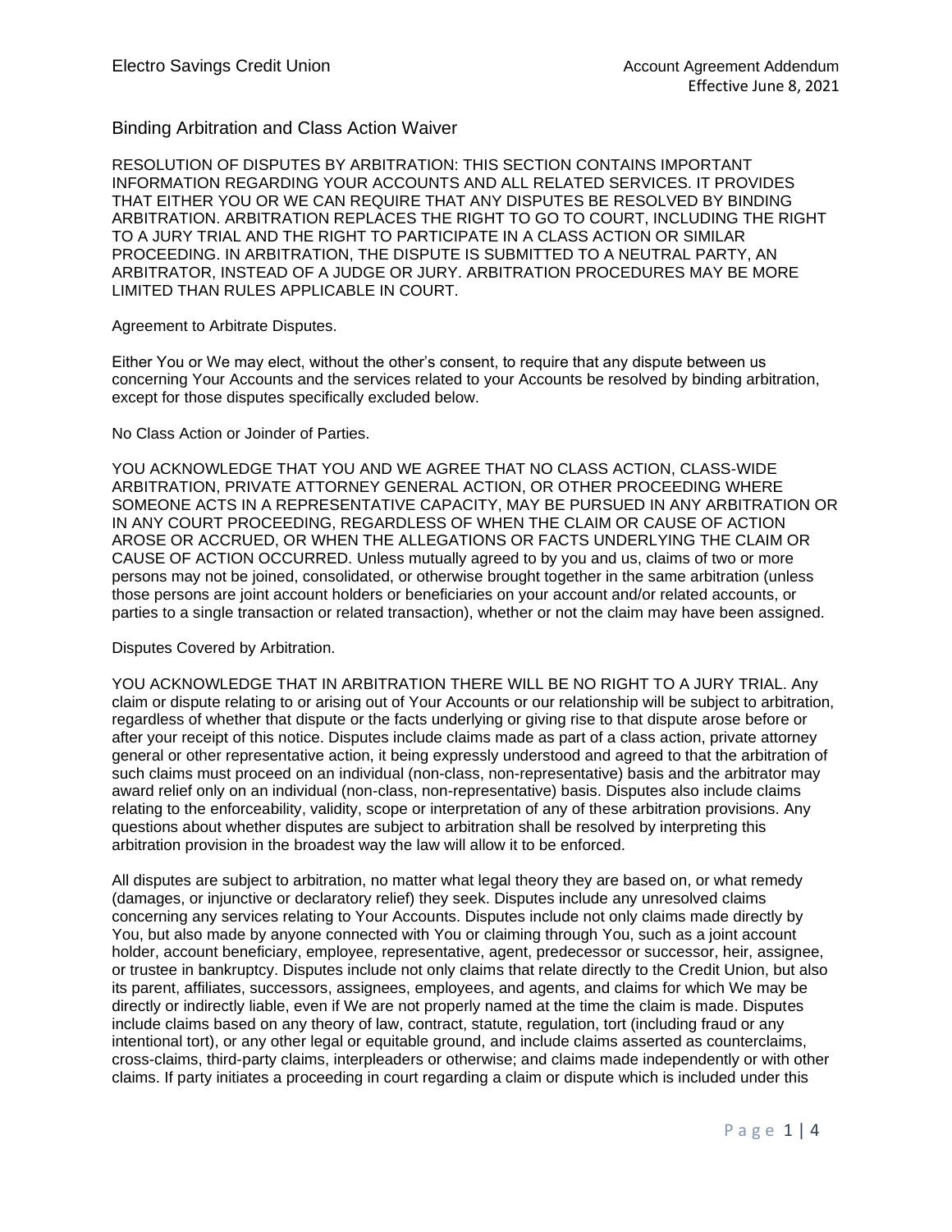Binding Arbitration and Class Action Waiver

RESOLUTION OF DISPUTES BY ARBITRATION: THIS SECTION CONTAINS IMPORTANT INFORMATION REGARDING YOUR ACCOUNTS AND ALL RELATED SERVICES. IT PROVIDES THAT EITHER YOU OR WE CAN REQUIRE THAT ANY DISPUTES BE RESOLVED BY BINDING ARBITRATION. ARBITRATION REPLACES THE RIGHT TO GO TO COURT, INCLUDING THE RIGHT TO A JURY TRIAL AND THE RIGHT TO PARTICIPATE IN A CLASS ACTION OR SIMILAR PROCEEDING. IN ARBITRATION, THE DISPUTE IS SUBMITTED TO A NEUTRAL PARTY, AN ARBITRATOR, INSTEAD OF A JUDGE OR JURY. ARBITRATION PROCEDURES MAY BE MORE LIMITED THAN RULES APPLICABLE IN COURT.

# Agreement to Arbitrate Disputes.

Either You or We may elect, without the other's consent, to require that any dispute between us concerning Your Accounts and the services related to your Accounts be resolved by binding arbitration, except for those disputes specifically excluded below.

# No Class Action or Joinder of Parties.

YOU ACKNOWLEDGE THAT YOU AND WE AGREE THAT NO CLASS ACTION, CLASS-WIDE ARBITRATION, PRIVATE ATTORNEY GENERAL ACTION, OR OTHER PROCEEDING WHERE SOMEONE ACTS IN A REPRESENTATIVE CAPACITY, MAY BE PURSUED IN ANY ARBITRATION OR IN ANY COURT PROCEEDING, REGARDLESS OF WHEN THE CLAIM OR CAUSE OF ACTION AROSE OR ACCRUED, OR WHEN THE ALLEGATIONS OR FACTS UNDERLYING THE CLAIM OR CAUSE OF ACTION OCCURRED. Unless mutually agreed to by you and us, claims of two or more persons may not be joined, consolidated, or otherwise brought together in the same arbitration (unless those persons are joint account holders or beneficiaries on your account and/or related accounts, or parties to a single transaction or related transaction), whether or not the claim may have been assigned.

# Disputes Covered by Arbitration.

YOU ACKNOWLEDGE THAT IN ARBITRATION THERE WILL BE NO RIGHT TO A JURY TRIAL. Any claim or dispute relating to or arising out of Your Accounts or our relationship will be subject to arbitration, regardless of whether that dispute or the facts underlying or giving rise to that dispute arose before or after your receipt of this notice. Disputes include claims made as part of a class action, private attorney general or other representative action, it being expressly understood and agreed to that the arbitration of such claims must proceed on an individual (non-class, non-representative) basis and the arbitrator may award relief only on an individual (non-class, non-representative) basis. Disputes also include claims relating to the enforceability, validity, scope or interpretation of any of these arbitration provisions. Any questions about whether disputes are subject to arbitration shall be resolved by interpreting this arbitration provision in the broadest way the law will allow it to be enforced.

All disputes are subject to arbitration, no matter what legal theory they are based on, or what remedy (damages, or injunctive or declaratory relief) they seek. Disputes include any unresolved claims concerning any services relating to Your Accounts. Disputes include not only claims made directly by You, but also made by anyone connected with You or claiming through You, such as a joint account holder, account beneficiary, employee, representative, agent, predecessor or successor, heir, assignee, or trustee in bankruptcy. Disputes include not only claims that relate directly to the Credit Union, but also its parent, affiliates, successors, assignees, employees, and agents, and claims for which We may be directly or indirectly liable, even if We are not properly named at the time the claim is made. Disputes include claims based on any theory of law, contract, statute, regulation, tort (including fraud or any intentional tort), or any other legal or equitable ground, and include claims asserted as counterclaims, cross-claims, third-party claims, interpleaders or otherwise; and claims made independently or with other claims. If party initiates a proceeding in court regarding a claim or dispute which is included under this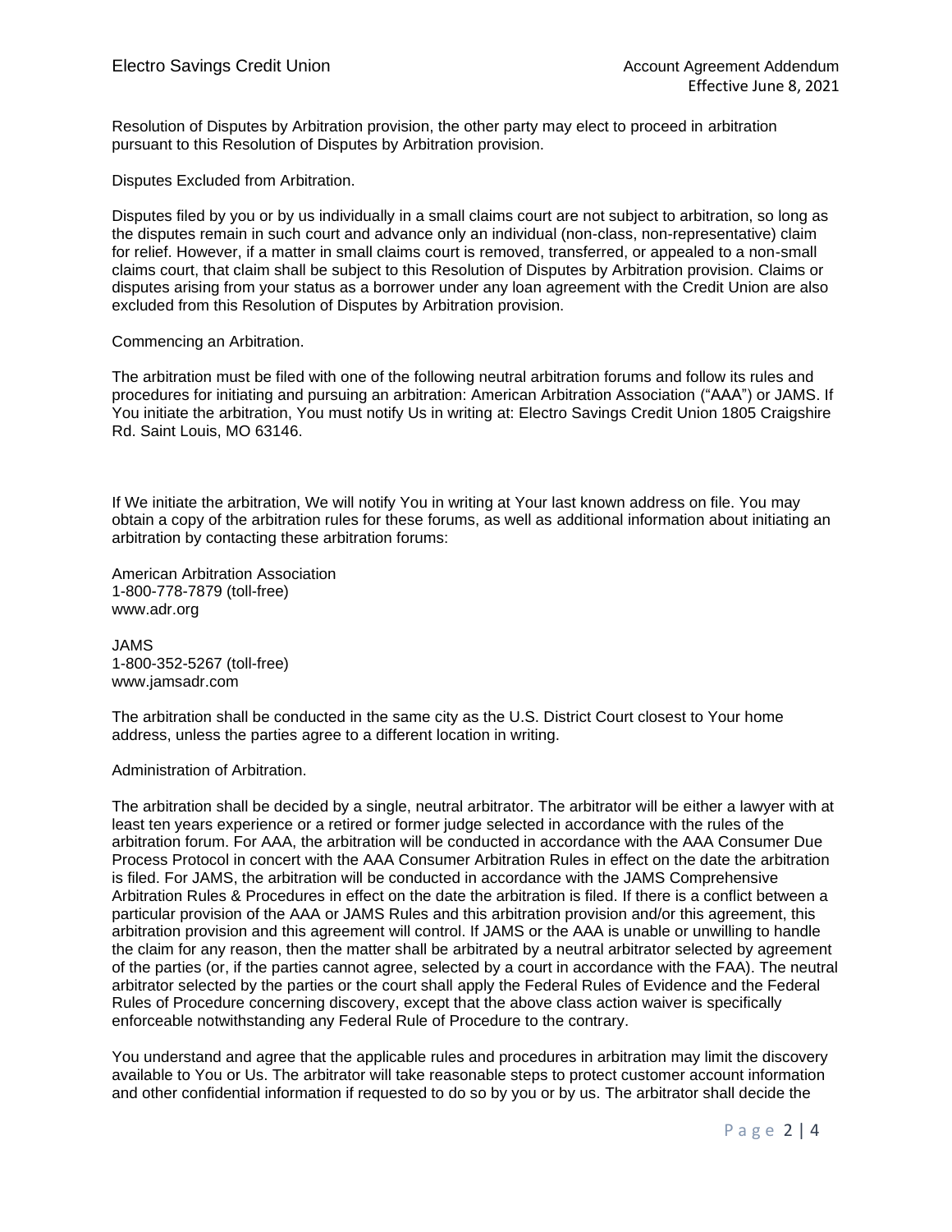Resolution of Disputes by Arbitration provision, the other party may elect to proceed in arbitration pursuant to this Resolution of Disputes by Arbitration provision.

Disputes Excluded from Arbitration.

Disputes filed by you or by us individually in a small claims court are not subject to arbitration, so long as the disputes remain in such court and advance only an individual (non-class, non-representative) claim for relief. However, if a matter in small claims court is removed, transferred, or appealed to a non-small claims court, that claim shall be subject to this Resolution of Disputes by Arbitration provision. Claims or disputes arising from your status as a borrower under any loan agreement with the Credit Union are also excluded from this Resolution of Disputes by Arbitration provision.

# Commencing an Arbitration.

The arbitration must be filed with one of the following neutral arbitration forums and follow its rules and procedures for initiating and pursuing an arbitration: American Arbitration Association ("AAA") or JAMS. If You initiate the arbitration, You must notify Us in writing at: Electro Savings Credit Union 1805 Craigshire Rd. Saint Louis, MO 63146.

If We initiate the arbitration, We will notify You in writing at Your last known address on file. You may obtain a copy of the arbitration rules for these forums, as well as additional information about initiating an arbitration by contacting these arbitration forums:

American Arbitration Association 1-800-778-7879 (toll-free) www.adr.org

JAMS 1-800-352-5267 (toll-free) www.jamsadr.com

The arbitration shall be conducted in the same city as the U.S. District Court closest to Your home address, unless the parties agree to a different location in writing.

# Administration of Arbitration.

The arbitration shall be decided by a single, neutral arbitrator. The arbitrator will be either a lawyer with at least ten years experience or a retired or former judge selected in accordance with the rules of the arbitration forum. For AAA, the arbitration will be conducted in accordance with the AAA Consumer Due Process Protocol in concert with the AAA Consumer Arbitration Rules in effect on the date the arbitration is filed. For JAMS, the arbitration will be conducted in accordance with the JAMS Comprehensive Arbitration Rules & Procedures in effect on the date the arbitration is filed. If there is a conflict between a particular provision of the AAA or JAMS Rules and this arbitration provision and/or this agreement, this arbitration provision and this agreement will control. If JAMS or the AAA is unable or unwilling to handle the claim for any reason, then the matter shall be arbitrated by a neutral arbitrator selected by agreement of the parties (or, if the parties cannot agree, selected by a court in accordance with the FAA). The neutral arbitrator selected by the parties or the court shall apply the Federal Rules of Evidence and the Federal Rules of Procedure concerning discovery, except that the above class action waiver is specifically enforceable notwithstanding any Federal Rule of Procedure to the contrary.

You understand and agree that the applicable rules and procedures in arbitration may limit the discovery available to You or Us. The arbitrator will take reasonable steps to protect customer account information and other confidential information if requested to do so by you or by us. The arbitrator shall decide the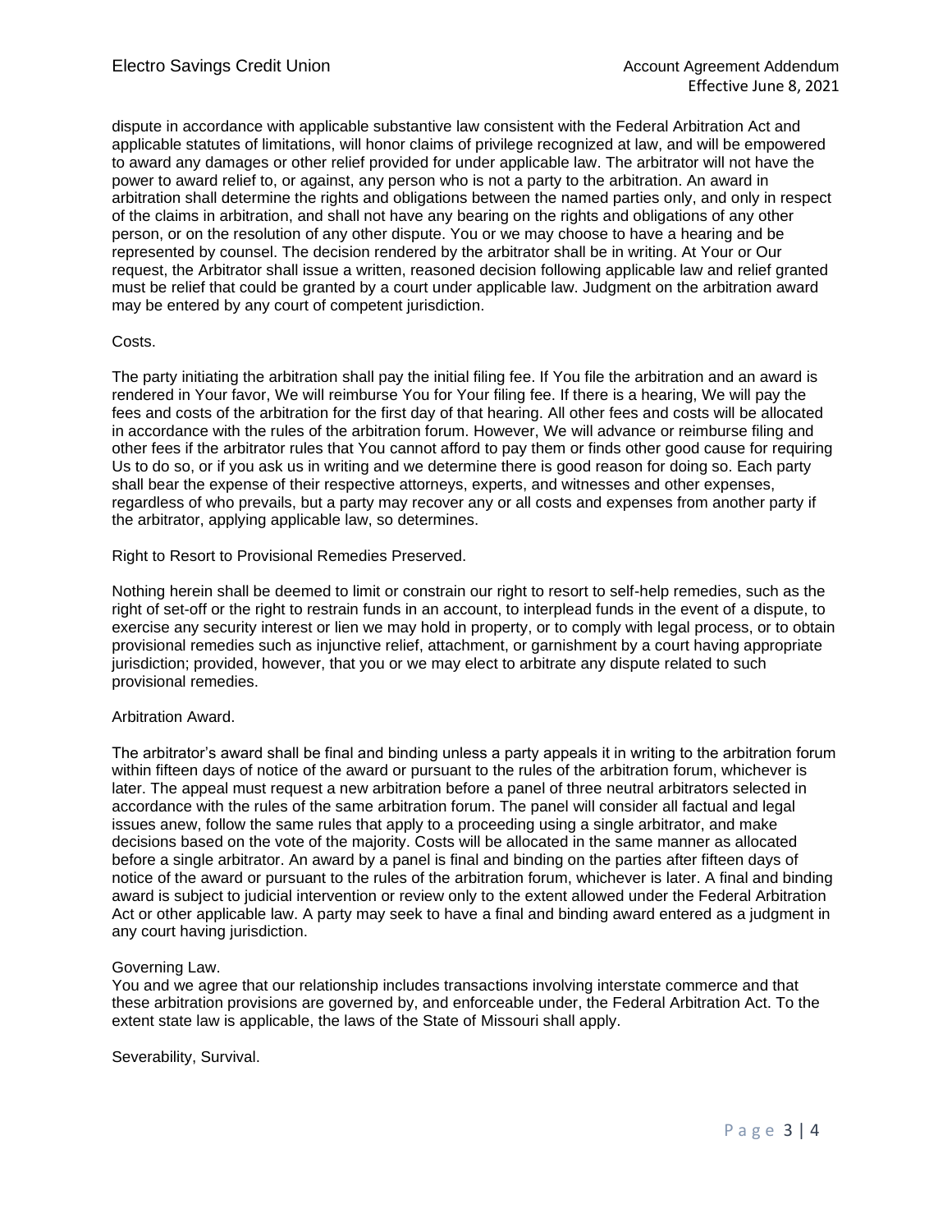dispute in accordance with applicable substantive law consistent with the Federal Arbitration Act and applicable statutes of limitations, will honor claims of privilege recognized at law, and will be empowered to award any damages or other relief provided for under applicable law. The arbitrator will not have the power to award relief to, or against, any person who is not a party to the arbitration. An award in arbitration shall determine the rights and obligations between the named parties only, and only in respect of the claims in arbitration, and shall not have any bearing on the rights and obligations of any other person, or on the resolution of any other dispute. You or we may choose to have a hearing and be represented by counsel. The decision rendered by the arbitrator shall be in writing. At Your or Our request, the Arbitrator shall issue a written, reasoned decision following applicable law and relief granted must be relief that could be granted by a court under applicable law. Judgment on the arbitration award may be entered by any court of competent jurisdiction.

# Costs.

The party initiating the arbitration shall pay the initial filing fee. If You file the arbitration and an award is rendered in Your favor, We will reimburse You for Your filing fee. If there is a hearing, We will pay the fees and costs of the arbitration for the first day of that hearing. All other fees and costs will be allocated in accordance with the rules of the arbitration forum. However, We will advance or reimburse filing and other fees if the arbitrator rules that You cannot afford to pay them or finds other good cause for requiring Us to do so, or if you ask us in writing and we determine there is good reason for doing so. Each party shall bear the expense of their respective attorneys, experts, and witnesses and other expenses, regardless of who prevails, but a party may recover any or all costs and expenses from another party if the arbitrator, applying applicable law, so determines.

Right to Resort to Provisional Remedies Preserved.

Nothing herein shall be deemed to limit or constrain our right to resort to self-help remedies, such as the right of set-off or the right to restrain funds in an account, to interplead funds in the event of a dispute, to exercise any security interest or lien we may hold in property, or to comply with legal process, or to obtain provisional remedies such as injunctive relief, attachment, or garnishment by a court having appropriate jurisdiction; provided, however, that you or we may elect to arbitrate any dispute related to such provisional remedies.

# Arbitration Award.

The arbitrator's award shall be final and binding unless a party appeals it in writing to the arbitration forum within fifteen days of notice of the award or pursuant to the rules of the arbitration forum, whichever is later. The appeal must request a new arbitration before a panel of three neutral arbitrators selected in accordance with the rules of the same arbitration forum. The panel will consider all factual and legal issues anew, follow the same rules that apply to a proceeding using a single arbitrator, and make decisions based on the vote of the majority. Costs will be allocated in the same manner as allocated before a single arbitrator. An award by a panel is final and binding on the parties after fifteen days of notice of the award or pursuant to the rules of the arbitration forum, whichever is later. A final and binding award is subject to judicial intervention or review only to the extent allowed under the Federal Arbitration Act or other applicable law. A party may seek to have a final and binding award entered as a judgment in any court having jurisdiction.

# Governing Law.

You and we agree that our relationship includes transactions involving interstate commerce and that these arbitration provisions are governed by, and enforceable under, the Federal Arbitration Act. To the extent state law is applicable, the laws of the State of Missouri shall apply.

Severability, Survival.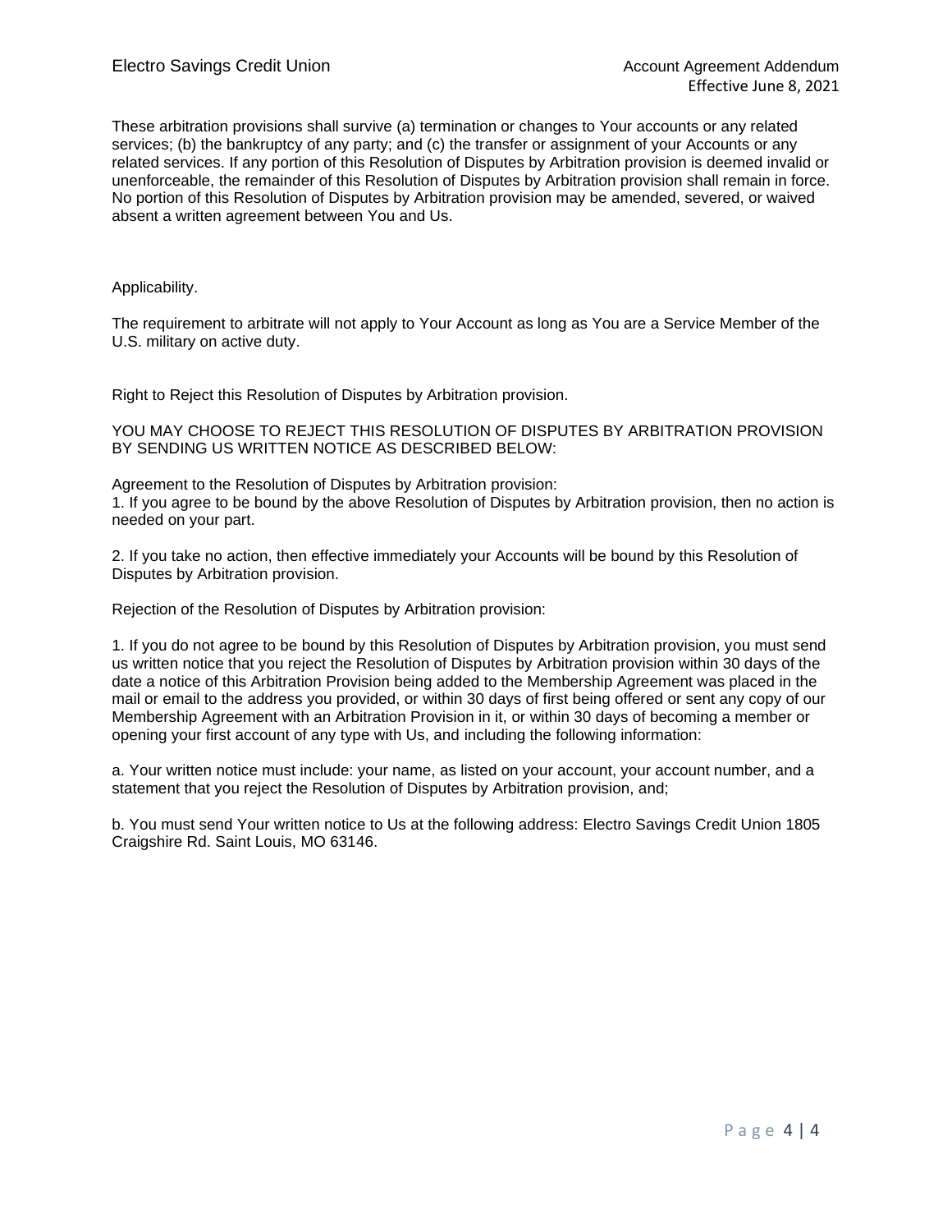These arbitration provisions shall survive (a) termination or changes to Your accounts or any related services; (b) the bankruptcy of any party; and (c) the transfer or assignment of your Accounts or any related services. If any portion of this Resolution of Disputes by Arbitration provision is deemed invalid or unenforceable, the remainder of this Resolution of Disputes by Arbitration provision shall remain in force. No portion of this Resolution of Disputes by Arbitration provision may be amended, severed, or waived absent a written agreement between You and Us.

# Applicability.

The requirement to arbitrate will not apply to Your Account as long as You are a Service Member of the U.S. military on active duty.

Right to Reject this Resolution of Disputes by Arbitration provision.

YOU MAY CHOOSE TO REJECT THIS RESOLUTION OF DISPUTES BY ARBITRATION PROVISION BY SENDING US WRITTEN NOTICE AS DESCRIBED BELOW:

Agreement to the Resolution of Disputes by Arbitration provision: 1. If you agree to be bound by the above Resolution of Disputes by Arbitration provision, then no action is needed on your part.

2. If you take no action, then effective immediately your Accounts will be bound by this Resolution of Disputes by Arbitration provision.

Rejection of the Resolution of Disputes by Arbitration provision:

1. If you do not agree to be bound by this Resolution of Disputes by Arbitration provision, you must send us written notice that you reject the Resolution of Disputes by Arbitration provision within 30 days of the date a notice of this Arbitration Provision being added to the Membership Agreement was placed in the mail or email to the address you provided, or within 30 days of first being offered or sent any copy of our Membership Agreement with an Arbitration Provision in it, or within 30 days of becoming a member or opening your first account of any type with Us, and including the following information:

a. Your written notice must include: your name, as listed on your account, your account number, and a statement that you reject the Resolution of Disputes by Arbitration provision, and;

b. You must send Your written notice to Us at the following address: Electro Savings Credit Union 1805 Craigshire Rd. Saint Louis, MO 63146.